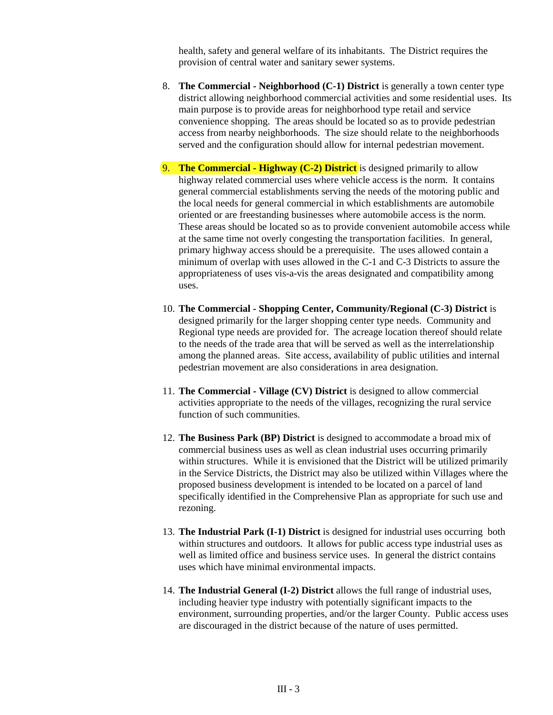health, safety and general welfare of its inhabitants. The District requires the provision of central water and sanitary sewer systems.

- 8. **The Commercial Neighborhood (C-1) District** is generally a town center type district allowing neighborhood commercial activities and some residential uses. Its main purpose is to provide areas for neighborhood type retail and service convenience shopping. The areas should be located so as to provide pedestrian access from nearby neighborhoods. The size should relate to the neighborhoods served and the configuration should allow for internal pedestrian movement.
- 9. **The Commercial Highway (C-2) District** is designed primarily to allow highway related commercial uses where vehicle access is the norm. It contains general commercial establishments serving the needs of the motoring public and the local needs for general commercial in which establishments are automobile oriented or are freestanding businesses where automobile access is the norm. These areas should be located so as to provide convenient automobile access while at the same time not overly congesting the transportation facilities. In general, primary highway access should be a prerequisite. The uses allowed contain a minimum of overlap with uses allowed in the C-1 and C-3 Districts to assure the appropriateness of uses vis-a-vis the areas designated and compatibility among uses.
- 10. **The Commercial Shopping Center, Community/Regional (C-3) District** is designed primarily for the larger shopping center type needs. Community and Regional type needs are provided for. The acreage location thereof should relate to the needs of the trade area that will be served as well as the interrelationship among the planned areas. Site access, availability of public utilities and internal pedestrian movement are also considerations in area designation.
- 11. **The Commercial Village (CV) District** is designed to allow commercial activities appropriate to the needs of the villages, recognizing the rural service function of such communities.
- 12. **The Business Park (BP) District** is designed to accommodate a broad mix of commercial business uses as well as clean industrial uses occurring primarily within structures. While it is envisioned that the District will be utilized primarily in the Service Districts, the District may also be utilized within Villages where the proposed business development is intended to be located on a parcel of land specifically identified in the Comprehensive Plan as appropriate for such use and rezoning.
- 13. **The Industrial Park (I-1) District** is designed for industrial uses occurring both within structures and outdoors. It allows for public access type industrial uses as well as limited office and business service uses. In general the district contains uses which have minimal environmental impacts.
- 14. **The Industrial General (I-2) District** allows the full range of industrial uses, including heavier type industry with potentially significant impacts to the environment, surrounding properties, and/or the larger County. Public access uses are discouraged in the district because of the nature of uses permitted.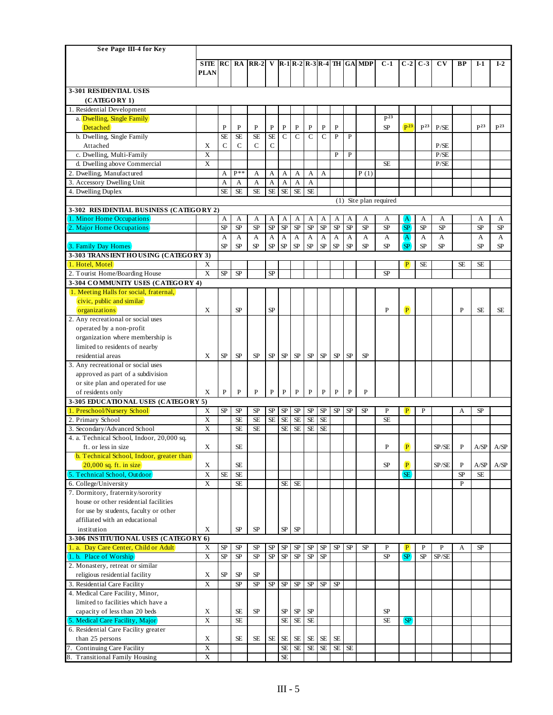| See Page III-4 for Key                                                        |                         |              |              |              |           |                |                |                        |              |              |              |                                             |                        |                             |                 |                        |              |                 |                 |
|-------------------------------------------------------------------------------|-------------------------|--------------|--------------|--------------|-----------|----------------|----------------|------------------------|--------------|--------------|--------------|---------------------------------------------|------------------------|-----------------------------|-----------------|------------------------|--------------|-----------------|-----------------|
|                                                                               | <b>SITE</b>             | RC           |              | $RA$ $RR-2$  |           |                |                |                        |              |              |              | V   R-1   R-2   R-3   R-4   TH $ $ GA   MDP | $C-1$                  | $C-2$                       | $C-3$           | $\mathbf{C}\mathbf{V}$ | <b>BP</b>    | $I-1$           | $I-2$           |
|                                                                               | <b>PLAN</b>             |              |              |              |           |                |                |                        |              |              |              |                                             |                        |                             |                 |                        |              |                 |                 |
|                                                                               |                         |              |              |              |           |                |                |                        |              |              |              |                                             |                        |                             |                 |                        |              |                 |                 |
| 3-301 RESIDENTIAL USES                                                        |                         |              |              |              |           |                |                |                        |              |              |              |                                             |                        |                             |                 |                        |              |                 |                 |
| (CATEGORY 1)                                                                  |                         |              |              |              |           |                |                |                        |              |              |              |                                             |                        |                             |                 |                        |              |                 |                 |
| 1. Residential Development                                                    |                         |              |              |              |           |                |                |                        |              |              |              |                                             |                        |                             |                 |                        |              |                 |                 |
| a. Dwelling, Single Family                                                    |                         |              |              |              |           |                |                |                        |              |              |              |                                             | $\overline{P^{23}}$    |                             |                 |                        |              |                 |                 |
| Detached                                                                      |                         | P            | $\mathbf{P}$ | $\mathbf{P}$ | P         | P              | P              | P                      | $\mathbf P$  | P            |              |                                             | <b>SP</b>              | $\sqrt{P^{23}}$             | P <sup>23</sup> | P/SE                   |              | P <sup>23</sup> | P <sup>23</sup> |
| b. Dwelling, Single Family                                                    |                         | <b>SE</b>    | <b>SE</b>    | <b>SE</b>    | $\rm SE$  | $\overline{C}$ | $\overline{C}$ | $\overline{c}$         | $\mathsf{C}$ | $\mathbf{P}$ | $\mathbf{P}$ |                                             |                        |                             |                 |                        |              |                 |                 |
| Attached                                                                      | Χ                       | $\mathsf{C}$ | $\mathsf{C}$ | $\mathsf{C}$ | C         |                |                |                        |              |              |              |                                             |                        |                             |                 | P/SE                   |              |                 |                 |
| c. Dwelling, Multi-Family                                                     | X                       |              |              |              |           |                |                |                        |              | P            | ${\bf P}$    |                                             |                        |                             |                 | P/SE                   |              |                 |                 |
| d. Dwelling above Commercial                                                  | X                       |              |              |              |           |                |                |                        |              |              |              |                                             | <b>SE</b>              |                             |                 | P/SE                   |              |                 |                 |
| 2. Dwelling, Manufactured                                                     |                         | А            | $P**$        | A            | А         | А              | A              | A                      | A            |              |              | P(1)                                        |                        |                             |                 |                        |              |                 |                 |
| 3. Accessory Dwelling Unit                                                    |                         | A            | A            | A            | A         | A              | A              | A                      |              |              |              |                                             |                        |                             |                 |                        |              |                 |                 |
| 4. Dwelling Duplex                                                            |                         | <b>SE</b>    | <b>SE</b>    | <b>SE</b>    | <b>SE</b> | <b>SE</b>      | $\rm SE$       | <b>SE</b>              |              |              |              |                                             |                        |                             |                 |                        |              |                 |                 |
|                                                                               |                         |              |              |              |           |                |                |                        |              |              |              |                                             | (1) Site plan required |                             |                 |                        |              |                 |                 |
| 3-302 RESIDENTIAL BUSINESS (CATEGORY 2)                                       |                         |              |              |              |           |                |                |                        |              |              |              |                                             |                        |                             |                 |                        |              |                 |                 |
| 1. Minor Home Occupations                                                     |                         | A            | A            | А            | A         | A              | А              | A                      | А            | А            | А            | A                                           | А                      | (A)                         | А               | А                      |              | А               | А               |
| 2. Major Home Occupations                                                     |                         | SP           | SP           | SP           | SP        | SP             | SP             | SP                     | SP           | SP           | SP           | SP                                          | <b>SP</b>              | <b>SP</b>                   | SP              | <b>SP</b>              |              | SP              | SP              |
|                                                                               |                         | A            | A            | А            | A         | A              | A              | A                      | A            | A            | A            | A                                           | A                      | (A)                         | A               | A                      |              | А               | A               |
| 3. Family Day Homes                                                           |                         | SP           | SP           | SP           | SP        | SP             | SP             | SP                     | SP           | SP           | SP           | SP                                          | SP                     | <b>SP</b>                   | SP              | SP                     |              | <b>SP</b>       | SP              |
| 3-303 TRANSIENT HOUSING (CATEGORY 3)                                          |                         |              |              |              |           |                |                |                        |              |              |              |                                             |                        |                             |                 |                        |              |                 |                 |
| 1. Hotel, Motel                                                               | X<br>X                  | ${\rm SP}$   | $S\!P$       |              | SP        |                |                |                        |              |              |              |                                             | SP                     | P                           | <b>SE</b>       |                        | <b>SE</b>    | <b>SE</b>       |                 |
| 2. Tourist Home/Boarding House                                                |                         |              |              |              |           |                |                |                        |              |              |              |                                             |                        |                             |                 |                        |              |                 |                 |
| 3-304 COMMUNITY USES (CATEGORY 4)<br>(1. Meeting Halls for social, fraternal, |                         |              |              |              |           |                |                |                        |              |              |              |                                             |                        |                             |                 |                        |              |                 |                 |
|                                                                               |                         |              |              |              |           |                |                |                        |              |              |              |                                             |                        |                             |                 |                        |              |                 |                 |
| civic, public and similar<br>organizations                                    | X                       |              | SP           |              | SP        |                |                |                        |              |              |              |                                             | P                      | $\mathbf{P}$                |                 |                        | P            | <b>SE</b>       | SE              |
| 2. Any recreational or social uses                                            |                         |              |              |              |           |                |                |                        |              |              |              |                                             |                        |                             |                 |                        |              |                 |                 |
| operated by a non-profit                                                      |                         |              |              |              |           |                |                |                        |              |              |              |                                             |                        |                             |                 |                        |              |                 |                 |
| organization where membership is                                              |                         |              |              |              |           |                |                |                        |              |              |              |                                             |                        |                             |                 |                        |              |                 |                 |
| limited to residents of nearby                                                |                         |              |              |              |           |                |                |                        |              |              |              |                                             |                        |                             |                 |                        |              |                 |                 |
| residential areas                                                             | Χ                       | SP           | SP           | SP           | SP        | SP             | SP             | $\rm SP$               | SP           | <b>SP</b>    | SP           | SP                                          |                        |                             |                 |                        |              |                 |                 |
| 3. Any recreational or social uses                                            |                         |              |              |              |           |                |                |                        |              |              |              |                                             |                        |                             |                 |                        |              |                 |                 |
| approved as part of a subdivision                                             |                         |              |              |              |           |                |                |                        |              |              |              |                                             |                        |                             |                 |                        |              |                 |                 |
| or site plan and operated for use                                             |                         |              |              |              |           |                |                |                        |              |              |              |                                             |                        |                             |                 |                        |              |                 |                 |
| of residents only                                                             | X                       | $\mathbf{P}$ | ${\bf P}$    | $\mathbf P$  | ${\bf P}$ | P              | $\mathbf{P}$   | $\mathbf P$            | $\mathbf P$  | P            | $\mathbf{P}$ | P                                           |                        |                             |                 |                        |              |                 |                 |
| 3-305 EDUCATIONAL USES (CATEGORY 5)                                           |                         |              |              |              |           |                |                |                        |              |              |              |                                             |                        |                             |                 |                        |              |                 |                 |
| 1. Preschool/Nursery School                                                   | X                       | SP           | SP           | SP           | SP        | SP             | SP             | SP                     | SP           | SP           | SP           | SP                                          | P                      | $\vert P \vert$             | P               |                        | А            | SP              |                 |
| 2. Primary School                                                             | X                       |              | <b>SE</b>    | <b>SE</b>    | <b>SE</b> | <b>SE</b>      | <b>SE</b>      | <b>SE</b>              | <b>SE</b>    |              |              |                                             | <b>SE</b>              |                             |                 |                        |              |                 |                 |
| 3. Secondary/Advanced School                                                  | X                       |              | SE           | <b>SE</b>    |           | <b>SE</b>      | <b>SE</b>      | <b>SE</b>              | <b>SE</b>    |              |              |                                             |                        |                             |                 |                        |              |                 |                 |
| 4. a. Technical School, Indoor, 20,000 sq.                                    |                         |              |              |              |           |                |                |                        |              |              |              |                                             |                        |                             |                 |                        |              |                 |                 |
| ft. or less in size                                                           | X                       |              | <b>SE</b>    |              |           |                |                |                        |              |              |              |                                             | P                      | $\left  \mathbf{P} \right $ |                 | SP/SE                  | P            |                 | $A/SP$ $A/SP$   |
| b. Technical School, Indoor, greater than                                     |                         |              |              |              |           |                |                |                        |              |              |              |                                             |                        |                             |                 |                        |              |                 |                 |
| $20,000$ sq. ft. in size                                                      | X                       |              | <b>SE</b>    |              |           |                |                |                        |              |              |              |                                             | SP                     | $\left  \mathbf{P} \right $ |                 | SP/SE                  | P            | A/SP            | A/SP            |
| 5. Technical School, Outdoor                                                  | $\overline{\mathbf{X}}$ | <b>SE</b>    | SE           |              |           |                |                |                        |              |              |              |                                             |                        | SE.                         |                 |                        | SP           | <b>SE</b>       |                 |
| 6. College/University                                                         | $\overline{X}$          |              | SE           |              |           |                | SE SE          |                        |              |              |              |                                             |                        |                             |                 |                        | $\mathbf{P}$ |                 |                 |
| 7. Dormitory, fraternity/sorority                                             |                         |              |              |              |           |                |                |                        |              |              |              |                                             |                        |                             |                 |                        |              |                 |                 |
| house or other residential facilities                                         |                         |              |              |              |           |                |                |                        |              |              |              |                                             |                        |                             |                 |                        |              |                 |                 |
| for use by students, faculty or other                                         |                         |              |              |              |           |                |                |                        |              |              |              |                                             |                        |                             |                 |                        |              |                 |                 |
| affiliated with an educational                                                |                         |              |              |              |           |                |                |                        |              |              |              |                                             |                        |                             |                 |                        |              |                 |                 |
| institution                                                                   | Χ                       |              | SP           | SP           |           | SP             | SP             |                        |              |              |              |                                             |                        |                             |                 |                        |              |                 |                 |
| 3-306 INSTITUTIONAL USES (CATEGORY 6)                                         |                         |              |              |              |           |                |                |                        |              |              |              |                                             |                        |                             |                 |                        |              |                 |                 |
| 1. a. Day Care Center, Child or Adult                                         | X                       | SP           | SP           | SP           | SP        | SP             | SP             | SP                     | SP           | SP           | SP           | <b>SP</b>                                   | P                      | P                           | P               | P                      | А            | SP              |                 |
| 1. b. Place of Worship                                                        | X                       | SP           | SP           | <b>SP</b>    | SP        | SP             | ${\rm SP}$     | ${\rm SP}$             | SP           |              |              |                                             | SP                     | <b>SP</b>                   | SP              | SP/SE                  |              |                 |                 |
| 2. Monastery, retreat or similar                                              |                         |              |              |              |           |                |                |                        |              |              |              |                                             |                        |                             |                 |                        |              |                 |                 |
| religious residential facility                                                | X                       | ${\rm SP}$   | SP           | SP           |           |                |                |                        |              |              |              |                                             |                        |                             |                 |                        |              |                 |                 |
| 3. Residential Care Facility                                                  | $\overline{X}$          |              | SP           | SP           | SP        | ${\rm SP}$     | ${\rm SP}$     | ${\rm SP}$             | SP           | $\rm SP$     |              |                                             |                        |                             |                 |                        |              |                 |                 |
| 4. Medical Care Facility, Minor,                                              |                         |              |              |              |           |                |                |                        |              |              |              |                                             |                        |                             |                 |                        |              |                 |                 |
| limited to facilities which have a                                            |                         |              |              |              |           |                |                |                        |              |              |              |                                             |                        |                             |                 |                        |              |                 |                 |
| capacity of less than 20 beds                                                 | Χ                       |              | SE           | SP           |           | <b>SP</b>      | SP             | <b>SP</b>              |              |              |              |                                             | SP                     |                             |                 |                        |              |                 |                 |
| 5. Medical Care Facility, Major)                                              | $\overline{X}$          |              | <b>SE</b>    |              |           | <b>SE</b>      | $\rm SE$       | $\rm SE$               |              |              |              |                                             | <b>SE</b>              | <b>SP</b>                   |                 |                        |              |                 |                 |
| 6. Residential Care Facility greater                                          |                         |              |              |              |           |                |                |                        |              |              |              |                                             |                        |                             |                 |                        |              |                 |                 |
| than 25 persons                                                               | X                       |              | SE           | SE           | SE        | <b>SE</b>      | <b>SE</b>      | SE                     | SE           | <b>SE</b>    |              |                                             |                        |                             |                 |                        |              |                 |                 |
| 7. Continuing Care Facility                                                   | $\mathbf X$             |              |              |              |           | <b>SE</b>      | $\rm SE$       | $\overline{\text{SE}}$ | <b>SE</b>    | $\rm SE$     | $\rm SE$     |                                             |                        |                             |                 |                        |              |                 |                 |
| 8. Transitional Family Housing                                                | X                       |              |              |              |           | <b>SE</b>      |                |                        |              |              |              |                                             |                        |                             |                 |                        |              |                 |                 |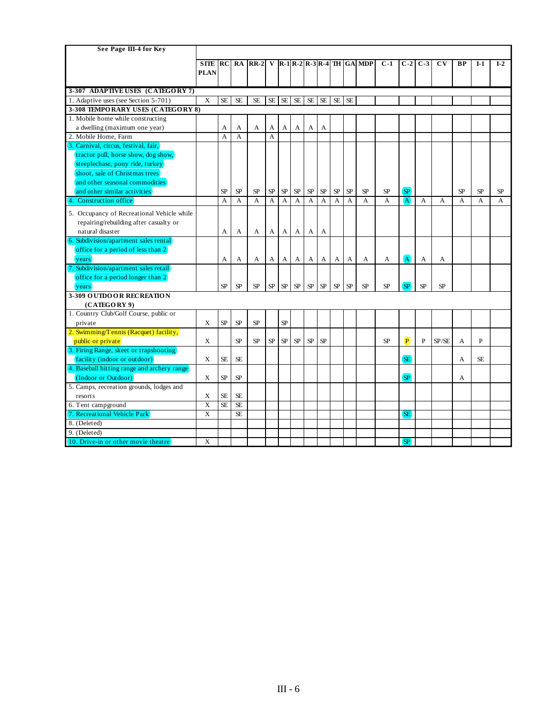| See Page III-4 for Key                           |                |                |           |           |                |           |            |            |          |                |           |                                    |           |                |       |                |              |                |           |
|--------------------------------------------------|----------------|----------------|-----------|-----------|----------------|-----------|------------|------------|----------|----------------|-----------|------------------------------------|-----------|----------------|-------|----------------|--------------|----------------|-----------|
|                                                  | <b>SITE</b> RC |                |           | $RA$ RR-2 |                |           |            |            |          |                |           | V $ R-1 R-2 R-3 R-4 $ TH $ GA MDP$ | $C-1$     | $C-2$          | $C-3$ | C <sub>V</sub> | <b>BP</b>    | $I-1$          | $I-2$     |
|                                                  | <b>PLAN</b>    |                |           |           |                |           |            |            |          |                |           |                                    |           |                |       |                |              |                |           |
|                                                  |                |                |           |           |                |           |            |            |          |                |           |                                    |           |                |       |                |              |                |           |
| 3-307 ADAPTIVE USES (CATEGORY 7)                 |                |                |           |           |                |           |            |            |          |                |           |                                    |           |                |       |                |              |                |           |
| 1. Adaptive uses (see Section 5-701)             | X              | <b>SE</b>      | <b>SE</b> | <b>SE</b> | <b>SE</b>      | <b>SE</b> | <b>SE</b>  | $\rm SE$   | $\rm SE$ | <b>SE</b>      | <b>SE</b> |                                    |           |                |       |                |              |                |           |
| 3-308 TEMPORARY USES (CATEGORY 8)                |                |                |           |           |                |           |            |            |          |                |           |                                    |           |                |       |                |              |                |           |
| 1. Mobile home while constructing                |                |                |           |           |                |           |            |            |          |                |           |                                    |           |                |       |                |              |                |           |
| a dwelling (maximum one year)                    |                | A              | A         | A         | A              | A         | A          | A          | A        |                |           |                                    |           |                |       |                |              |                |           |
| 2. Mobile Home, Farm                             |                | $\overline{A}$ | A         |           | $\overline{A}$ |           |            |            |          |                |           |                                    |           |                |       |                |              |                |           |
| 3. Carnival, circus, festival, fair,             |                |                |           |           |                |           |            |            |          |                |           |                                    |           |                |       |                |              |                |           |
| tractor pull, horse show, dog show,              |                |                |           |           |                |           |            |            |          |                |           |                                    |           |                |       |                |              |                |           |
| steeplechase, pony ride, turkey                  |                |                |           |           |                |           |            |            |          |                |           |                                    |           |                |       |                |              |                |           |
| shoot, sale of Christmas trees                   |                |                |           |           |                |           |            |            |          |                |           |                                    |           |                |       |                |              |                |           |
| and other seasonal commodities                   |                |                |           |           |                |           |            |            |          |                |           |                                    |           |                |       |                |              |                |           |
| and other similar activities                     |                | <b>SP</b>      | <b>SP</b> | <b>SP</b> | <b>SP</b>      | <b>SP</b> | <b>SP</b>  | <b>SP</b>  | SP       | SP             | <b>SP</b> | <b>SP</b>                          | <b>SP</b> | <b>SP</b>      |       |                | <b>SP</b>    | <b>SP</b>      | <b>SP</b> |
| 4. Construction office                           |                | A              | A         | A         | A              | A         | A          | A          | A        | $\overline{A}$ | A         | A                                  | A         | $\overline{A}$ | A     | A              | $\mathsf{A}$ | $\overline{A}$ | A         |
| 5. Occupancy of Recreational Vehicle while       |                |                |           |           |                |           |            |            |          |                |           |                                    |           |                |       |                |              |                |           |
| repairing/rebuilding after casualty or           |                |                |           |           |                |           |            |            |          |                |           |                                    |           |                |       |                |              |                |           |
| natural disaster                                 |                | A              | A         | A         | A              | A         | A          | A          | A        |                |           |                                    |           |                |       |                |              |                |           |
| 6. Subdivision/apartment sales rental            |                |                |           |           |                |           |            |            |          |                |           |                                    |           |                |       |                |              |                |           |
| office for a period of less than 2)              |                |                |           |           |                |           |            |            |          |                |           |                                    |           |                |       |                |              |                |           |
| <i>vears</i>                                     |                | A              | А         | А         | A              | A         | A          | A          | A        | A              | A         | A                                  | А         | (A)            | А     | A              |              |                |           |
| 7. Subdivision/apartment sales retail            |                |                |           |           |                |           |            |            |          |                |           |                                    |           |                |       |                |              |                |           |
| office for a period longer than 2                |                |                |           |           |                |           |            |            |          |                |           |                                    |           |                |       |                |              |                |           |
| years                                            |                | SP             | SP        | <b>SP</b> | <b>SP</b>      | SP        | ${\rm SP}$ | ${\rm SP}$ | SP       | ${\rm SP}$     | <b>SP</b> | SP                                 | <b>SP</b> | <b>SP</b>      | SP    | <b>SP</b>      |              |                |           |
| 3-309 OUTDOOR RECREATION                         |                |                |           |           |                |           |            |            |          |                |           |                                    |           |                |       |                |              |                |           |
| (CATEGORY 9)                                     |                |                |           |           |                |           |            |            |          |                |           |                                    |           |                |       |                |              |                |           |
| 1. Country Club/Golf Course, public or           |                |                |           |           |                |           |            |            |          |                |           |                                    |           |                |       |                |              |                |           |
| private                                          | X              | SP             | SP        | SP        |                | SP        |            |            |          |                |           |                                    |           |                |       |                |              |                |           |
| $\sqrt{2}$ . Swimming/Tennis (Racquet) facility, |                |                |           |           |                |           |            |            |          |                |           |                                    |           |                |       |                |              |                |           |
| public or private                                | X              |                | SP        | SP        | <b>SP</b>      | SP        | <b>SP</b>  | SP         | SP       |                |           |                                    | <b>SP</b> | $\mathbf{P}$   | P     | SP/SE          | A            | P              |           |
| 3. Firing Range, skeet or trapshooting           |                |                |           |           |                |           |            |            |          |                |           |                                    |           |                |       |                |              |                |           |
| (facility (indoor or outdoor)                    | X              | <b>SE</b>      | <b>SE</b> |           |                |           |            |            |          |                |           |                                    |           | <b>SE</b>      |       |                | A            | <b>SE</b>      |           |
| 4. Baseball hitting range and archery range      |                |                |           |           |                |           |            |            |          |                |           |                                    |           |                |       |                |              |                |           |
| (Indoor or Outdoor)                              | X              | SP             | SP        |           |                |           |            |            |          |                |           |                                    |           | <b>SP</b>      |       |                | А            |                |           |
| 5. Camps, recreation grounds, lodges and         |                |                |           |           |                |           |            |            |          |                |           |                                    |           |                |       |                |              |                |           |
| resorts                                          | X              | <b>SE</b>      | <b>SE</b> |           |                |           |            |            |          |                |           |                                    |           |                |       |                |              |                |           |
| 6. Tent campground                               | X              | <b>SE</b>      | <b>SE</b> |           |                |           |            |            |          |                |           |                                    |           |                |       |                |              |                |           |
| 7. Recreational Vehicle Park                     | X              |                | <b>SE</b> |           |                |           |            |            |          |                |           |                                    |           | <b>SE</b>      |       |                |              |                |           |
| 8. (Deleted)                                     |                |                |           |           |                |           |            |            |          |                |           |                                    |           |                |       |                |              |                |           |
| 9. (Deleted)                                     |                |                |           |           |                |           |            |            |          |                |           |                                    |           |                |       |                |              |                |           |
| 10. Drive-in or other movie theatre              | X              |                |           |           |                |           |            |            |          |                |           |                                    |           | SP             |       |                |              |                |           |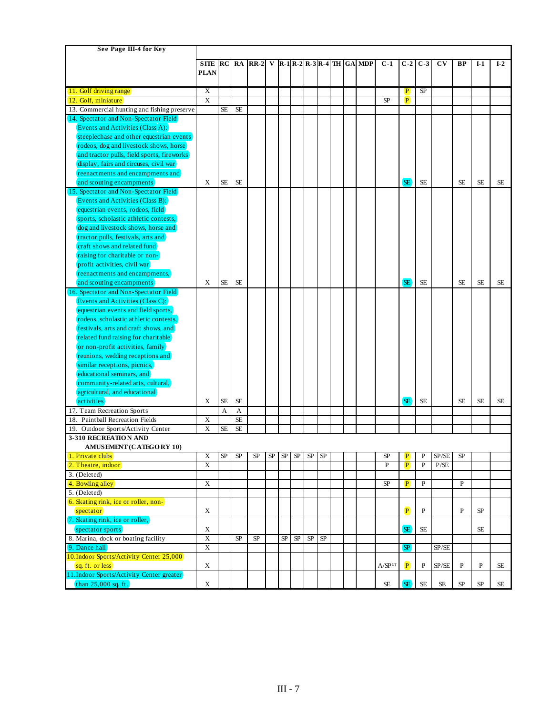| See Page III-4 for Key                      |                         |           |            |        |    |    |          |    |            |  |                                                                              |                    |                             |           |                        |              |             |           |
|---------------------------------------------|-------------------------|-----------|------------|--------|----|----|----------|----|------------|--|------------------------------------------------------------------------------|--------------------|-----------------------------|-----------|------------------------|--------------|-------------|-----------|
|                                             |                         |           |            |        |    |    |          |    |            |  |                                                                              |                    |                             |           |                        |              |             |           |
|                                             | <b>SITE</b>             | RC        | RA         | $RR-2$ |    |    |          |    |            |  | V $\left  R-1 \right  R-2 \left  R-3 \right  R-4$ TH $\left  GA \right  MDP$ | $C-1$              | $C-2$                       | $C-3$     | $\mathbf{C}\mathbf{V}$ | ВP           | $I-1$       | $I-2$     |
|                                             | <b>PLAN</b>             |           |            |        |    |    |          |    |            |  |                                                                              |                    |                             |           |                        |              |             |           |
|                                             |                         |           |            |        |    |    |          |    |            |  |                                                                              |                    |                             |           |                        |              |             |           |
| 11. Golf driving range                      | X<br>$\overline{X}$     |           |            |        |    |    |          |    |            |  |                                                                              |                    | $\overline{P}$              | <b>SP</b> |                        |              |             |           |
| 12. Golf, miniature                         |                         |           |            |        |    |    |          |    |            |  |                                                                              | <b>SP</b>          | P                           |           |                        |              |             |           |
| 13. Commercial hunting and fishing preserve |                         | <b>SE</b> | <b>SE</b>  |        |    |    |          |    |            |  |                                                                              |                    |                             |           |                        |              |             |           |
| 14. Spectator and Non-Spectator Field       |                         |           |            |        |    |    |          |    |            |  |                                                                              |                    |                             |           |                        |              |             |           |
| Events and Activities (Class A):            |                         |           |            |        |    |    |          |    |            |  |                                                                              |                    |                             |           |                        |              |             |           |
| steeplechase and other equestrian events    |                         |           |            |        |    |    |          |    |            |  |                                                                              |                    |                             |           |                        |              |             |           |
| rodeos, dog and livestock shows, horse      |                         |           |            |        |    |    |          |    |            |  |                                                                              |                    |                             |           |                        |              |             |           |
| and tractor pulls, field sports, fireworks  |                         |           |            |        |    |    |          |    |            |  |                                                                              |                    |                             |           |                        |              |             |           |
| display, fairs and circuses, civil war      |                         |           |            |        |    |    |          |    |            |  |                                                                              |                    |                             |           |                        |              |             |           |
| reenactments and encampments and            |                         |           |            |        |    |    |          |    |            |  |                                                                              |                    |                             |           |                        |              |             |           |
| and scouting encampments                    | X                       | <b>SE</b> | <b>SE</b>  |        |    |    |          |    |            |  |                                                                              |                    | <b>SE</b>                   | <b>SE</b> |                        | <b>SE</b>    | <b>SE</b>   | <b>SE</b> |
| 15. Spectator and Non-Spectator Field)      |                         |           |            |        |    |    |          |    |            |  |                                                                              |                    |                             |           |                        |              |             |           |
| Events and Activities (Class B):            |                         |           |            |        |    |    |          |    |            |  |                                                                              |                    |                             |           |                        |              |             |           |
| equestrian events, rodeos, field            |                         |           |            |        |    |    |          |    |            |  |                                                                              |                    |                             |           |                        |              |             |           |
| sports, scholastic athletic contests,       |                         |           |            |        |    |    |          |    |            |  |                                                                              |                    |                             |           |                        |              |             |           |
| dog and livestock shows, horse and          |                         |           |            |        |    |    |          |    |            |  |                                                                              |                    |                             |           |                        |              |             |           |
| tractor pulls, festivals, arts and          |                         |           |            |        |    |    |          |    |            |  |                                                                              |                    |                             |           |                        |              |             |           |
| craft shows and related fund                |                         |           |            |        |    |    |          |    |            |  |                                                                              |                    |                             |           |                        |              |             |           |
| raising for charitable or non-              |                         |           |            |        |    |    |          |    |            |  |                                                                              |                    |                             |           |                        |              |             |           |
| profit activities, civil war                |                         |           |            |        |    |    |          |    |            |  |                                                                              |                    |                             |           |                        |              |             |           |
| reenactments and encampments,               |                         |           |            |        |    |    |          |    |            |  |                                                                              |                    |                             |           |                        |              |             |           |
| and scouting encampments                    | Χ                       | <b>SE</b> | <b>SE</b>  |        |    |    |          |    |            |  |                                                                              |                    | SE <sup>1</sup>             | <b>SE</b> |                        | <b>SE</b>    | <b>SE</b>   | <b>SE</b> |
| 16. Spectator and Non-Spectator Field       |                         |           |            |        |    |    |          |    |            |  |                                                                              |                    |                             |           |                        |              |             |           |
| Events and Activities (Class C):            |                         |           |            |        |    |    |          |    |            |  |                                                                              |                    |                             |           |                        |              |             |           |
| equestrian events and field sports,         |                         |           |            |        |    |    |          |    |            |  |                                                                              |                    |                             |           |                        |              |             |           |
| rodeos, scholastic athletic contests,       |                         |           |            |        |    |    |          |    |            |  |                                                                              |                    |                             |           |                        |              |             |           |
| festivals, arts and craft shows, and        |                         |           |            |        |    |    |          |    |            |  |                                                                              |                    |                             |           |                        |              |             |           |
|                                             |                         |           |            |        |    |    |          |    |            |  |                                                                              |                    |                             |           |                        |              |             |           |
| related fund raising for charitable         |                         |           |            |        |    |    |          |    |            |  |                                                                              |                    |                             |           |                        |              |             |           |
| or non-profit activities, family)           |                         |           |            |        |    |    |          |    |            |  |                                                                              |                    |                             |           |                        |              |             |           |
| reunions, wedding receptions and            |                         |           |            |        |    |    |          |    |            |  |                                                                              |                    |                             |           |                        |              |             |           |
| similar receptions, picnics,                |                         |           |            |        |    |    |          |    |            |  |                                                                              |                    |                             |           |                        |              |             |           |
| educational seminars, and                   |                         |           |            |        |    |    |          |    |            |  |                                                                              |                    |                             |           |                        |              |             |           |
| community-related arts, cultural,           |                         |           |            |        |    |    |          |    |            |  |                                                                              |                    |                             |           |                        |              |             |           |
| agricultural, and educational               |                         |           |            |        |    |    |          |    |            |  |                                                                              |                    |                             |           |                        |              |             |           |
| activities                                  | X                       | <b>SE</b> | <b>SE</b>  |        |    |    |          |    |            |  |                                                                              |                    | SE <sup>1</sup>             | <b>SE</b> |                        | <b>SE</b>    | <b>SE</b>   | SE        |
| 17. Team Recreation Sports                  |                         | A         | A          |        |    |    |          |    |            |  |                                                                              |                    |                             |           |                        |              |             |           |
| 18. Paintball Recreation Fields             | X                       |           | $\rm SE$   |        |    |    |          |    |            |  |                                                                              |                    |                             |           |                        |              |             |           |
| 19. Outdoor Sports/Activity Center          | X                       | <b>SE</b> | <b>SE</b>  |        |    |    |          |    |            |  |                                                                              |                    |                             |           |                        |              |             |           |
| 3-310 RECREATION AND                        |                         |           |            |        |    |    |          |    |            |  |                                                                              |                    |                             |           |                        |              |             |           |
| AMUSEMENT (CATEGORY 10)                     |                         |           |            |        |    |    |          |    |            |  |                                                                              |                    |                             |           |                        |              |             |           |
| 1. Private clubs                            | X                       | SP        | ${\rm SP}$ | SP     | SP | SP | SP       | SP | SP         |  |                                                                              | SP                 | $\bf{P}$                    | P         | SP/SE                  | ${\rm SP}$   |             |           |
| 2. Theatre, indoor                          | X                       |           |            |        |    |    |          |    |            |  |                                                                              | P                  | P                           | ${\bf P}$ | P/SE                   |              |             |           |
| 3. (Deleted)                                |                         |           |            |        |    |    |          |    |            |  |                                                                              |                    |                             |           |                        |              |             |           |
| 4. Bowling alley                            | $\overline{X}$          |           |            |        |    |    |          |    |            |  |                                                                              | ${\rm SP}$         | $\mathbf{P}$                | P         |                        | $\mathbf{P}$ |             |           |
| 5. (Deleted)                                |                         |           |            |        |    |    |          |    |            |  |                                                                              |                    |                             |           |                        |              |             |           |
| 6. Skating rink, ice or roller, non-        |                         |           |            |        |    |    |          |    |            |  |                                                                              |                    |                             |           |                        |              |             |           |
| spectator                                   | X                       |           |            |        |    |    |          |    |            |  |                                                                              |                    | $\left  \mathbf{P} \right $ | P         |                        | P            | SP          |           |
| 7. Skating rink, ice or roller,             |                         |           |            |        |    |    |          |    |            |  |                                                                              |                    |                             |           |                        |              |             |           |
| (spectator sports)                          | X                       |           |            |        |    |    |          |    |            |  |                                                                              |                    | SE)                         | SE        |                        |              | <b>SE</b>   |           |
| 8. Marina, dock or boating facility         | $\mathbf X$             |           | SP         | SP     |    | SP | $\rm SP$ | SP | ${\rm SP}$ |  |                                                                              |                    |                             |           |                        |              |             |           |
| 9. Dance hall                               | $\overline{\textbf{X}}$ |           |            |        |    |    |          |    |            |  |                                                                              |                    | SP.                         |           | SP/SE                  |              |             |           |
| 10.Indoor Sports/Activity Center 25,000     |                         |           |            |        |    |    |          |    |            |  |                                                                              |                    |                             |           |                        |              |             |           |
| sq. ft. or less)                            | $\mathbf X$             |           |            |        |    |    |          |    |            |  |                                                                              | A/SP <sup>17</sup> | (P)                         | P         | SP/SE                  | $\mathbf{P}$ | $\mathbf P$ | SE        |
| 11.Indoor Sports/Activity Center greater)   |                         |           |            |        |    |    |          |    |            |  |                                                                              |                    |                             |           |                        |              |             |           |
| $(\text{than } 25,000 \text{ sq. ft})$      | X                       |           |            |        |    |    |          |    |            |  |                                                                              | SE.                | (SE)                        | SE        | SE.                    | SP           | SP          | SE        |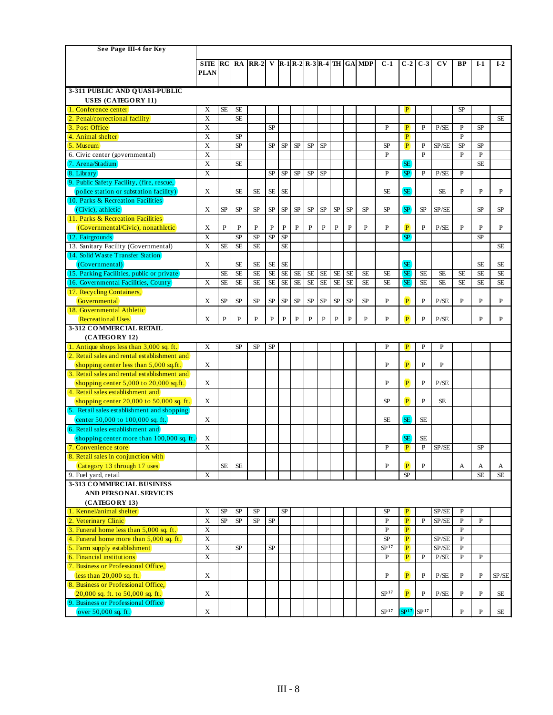| See Page III-4 for Key                              |                         |              |                 |           |              |              |              |              |              |              |           |                                                                                    |                  |                             |           |                        |              |              |           |
|-----------------------------------------------------|-------------------------|--------------|-----------------|-----------|--------------|--------------|--------------|--------------|--------------|--------------|-----------|------------------------------------------------------------------------------------|------------------|-----------------------------|-----------|------------------------|--------------|--------------|-----------|
|                                                     | <b>SITE</b>             | <b>IRC</b>   | RA              | $IRR-2$   |              |              |              |              |              |              |           | V $\left  R-1\right  R-2\left  R-3\right  R-4\left  TH\right  GA\left  MDP\right $ | $C-1$            | $C-2$                       | $C-3$     | $\mathbf{C}\mathbf{V}$ | <b>BP</b>    | $I-1$        | $I-2$     |
|                                                     | <b>PLAN</b>             |              |                 |           |              |              |              |              |              |              |           |                                                                                    |                  |                             |           |                        |              |              |           |
|                                                     |                         |              |                 |           |              |              |              |              |              |              |           |                                                                                    |                  |                             |           |                        |              |              |           |
| 3-311 PUBLIC AND QUASI-PUBLIC                       |                         |              |                 |           |              |              |              |              |              |              |           |                                                                                    |                  |                             |           |                        |              |              |           |
| USES (CATEGORY 11)                                  |                         |              |                 |           |              |              |              |              |              |              |           |                                                                                    |                  |                             |           |                        |              |              |           |
| 1. Conference center                                | X                       | <b>SE</b>    | SE              |           |              |              |              |              |              |              |           |                                                                                    |                  | P                           |           |                        | <b>SP</b>    |              |           |
| 2. Penal/correctional facility                      | X                       |              | <b>SE</b>       |           |              |              |              |              |              |              |           |                                                                                    |                  |                             |           |                        |              |              | <b>SE</b> |
| 3. Post Office                                      | X                       |              |                 |           | <b>SP</b>    |              |              |              |              |              |           |                                                                                    | P                | $\mathbf{P}$                | P         | P/SE                   | $\mathbf{P}$ | SP           |           |
| 4. Animal shelter                                   | X                       |              | SP              |           |              |              |              |              |              |              |           |                                                                                    |                  | $\vert P \vert$             |           |                        | $\mathbf{P}$ |              |           |
| 5. Museum                                           | $\overline{\mathbf{X}}$ |              | $\overline{SP}$ |           | <b>SP</b>    | SP           | ${\rm SP}$   | SP           | SP           |              |           |                                                                                    | <b>SP</b>        | $\mathbf{P}$                | P         | SP/SE                  | SP           | SP           |           |
| 6. Civic center (governmental)                      | X                       |              |                 |           |              |              |              |              |              |              |           |                                                                                    | P                |                             | P         |                        | $\mathbf{P}$ | $\mathbf{P}$ |           |
| 7. Arena/Stadium                                    | X                       |              | <b>SE</b>       |           |              |              |              |              |              |              |           |                                                                                    |                  | <b>SE</b>                   |           |                        |              | <b>SE</b>    |           |
| 8. Library                                          | $\overline{\mathbf{X}}$ |              |                 |           | SP           | SP           | SP           | SP           | SP           |              |           |                                                                                    | P                | <b>SP</b>                   | P         | P/SE                   | P            |              |           |
| 9. Public Safety Facility, (fire, rescue,           |                         |              |                 |           |              |              |              |              |              |              |           |                                                                                    |                  |                             |           |                        |              |              |           |
| police station or substation facility)              | X                       |              | <b>SE</b>       | <b>SE</b> | <b>SE</b>    | <b>SE</b>    |              |              |              |              |           |                                                                                    | <b>SE</b>        | <b>SE</b>                   |           | SE                     | $\mathbf{P}$ | P            | P         |
| 10. Parks & Recreation Facilities                   |                         |              |                 |           |              |              |              |              |              |              |           |                                                                                    |                  |                             |           |                        |              |              |           |
| (Civic), athletic                                   | X                       | SP           | SP              | SP        | SP           | SP           | SP           | SP           | SP           | SP           | SP        | <b>SP</b>                                                                          | <b>SP</b>        | <b>SP</b>                   | SP        | SP/SE                  |              | SP           | <b>SP</b> |
| 11. Parks & Recreation Facilities                   |                         |              |                 |           |              |              |              |              |              |              |           |                                                                                    |                  |                             |           |                        |              |              |           |
| (Governmental/Civic), nonathletic                   | X                       | $\mathbf{P}$ | $\mathbf{P}$    | P         | $\, {\bf P}$ | $\mathbf{P}$ | $\mathbf{P}$ | $\mathbf{P}$ | $\mathbf{P}$ | $\mathbf{P}$ | P         | $\mathbf{P}$                                                                       | P                | P                           | P         | P/SE                   | P            | P            | P         |
| 12. Fairgrounds                                     | $\overline{\mathbf{x}}$ |              | SP              | <b>SP</b> | SP           | <b>SP</b>    |              |              |              |              |           |                                                                                    |                  | <b>SP</b>                   |           |                        |              | SP           |           |
| 13. Sanitary Facility (Governmental)                | X                       | <b>SE</b>    | <b>SE</b>       | <b>SE</b> |              | <b>SE</b>    |              |              |              |              |           |                                                                                    |                  |                             |           |                        |              |              | <b>SE</b> |
| 14. Solid Waste Transfer Station                    |                         |              |                 |           |              |              |              |              |              |              |           |                                                                                    |                  |                             |           |                        |              |              |           |
| (Governmental)                                      | X                       |              | <b>SE</b>       | <b>SE</b> | <b>SE</b>    | <b>SE</b>    |              |              |              |              |           |                                                                                    |                  | <b>SE</b>                   |           |                        |              | <b>SE</b>    | <b>SE</b> |
| 15. Parking Facilities, public or private           |                         | <b>SE</b>    | <b>SE</b>       | <b>SE</b> | <b>SE</b>    | SE           | $\rm SE$     | <b>SE</b>    | $\rm SE$     | <b>SE</b>    | <b>SE</b> | <b>SE</b>                                                                          | <b>SE</b>        | <b>SE</b>                   | <b>SE</b> | <b>SE</b>              | <b>SE</b>    | <b>SE</b>    | <b>SE</b> |
| 16. Governmental Facilities, County                 | X                       | $\rm SE$     | <b>SE</b>       | $\rm SE$  | $\rm SE$     | <b>SE</b>    | SE           | <b>SE</b>    | <b>SE</b>    | <b>SE</b>    | $\rm SE$  | <b>SE</b>                                                                          | <b>SE</b>        | <b>SE</b>                   | SE        | <b>SE</b>              | <b>SE</b>    | <b>SE</b>    | <b>SE</b> |
| 17. Recycling Containers,                           |                         |              |                 |           |              |              |              |              |              |              |           |                                                                                    |                  |                             |           |                        |              |              |           |
| Governmental                                        | Χ                       | SP           | SP              | SP        | SP           | ${\rm SP}$   | SP           | SP           | ${\rm SP}$   | SP           | SP        | <b>SP</b>                                                                          | P                | $\mathbf{P}$                | P         | P/SE                   | P            | P            | P         |
| 18. Governmental Athletic                           |                         |              |                 |           |              |              |              |              |              |              |           |                                                                                    |                  | $\vert P \vert$             |           |                        |              |              |           |
| <b>Recreational Uses</b><br>3-312 COMMERCIAL RETAIL | X                       | P            | $\mathbf{P}$    | P         | $\mathbf P$  | P            | P            | $\mathbf{P}$ | $\mathbf{P}$ | $\mathbf P$  | P         | $\mathbf{P}$                                                                       | P                |                             | P         | P/SE                   |              | P            | P         |
| (CATEGORY 12)                                       |                         |              |                 |           |              |              |              |              |              |              |           |                                                                                    |                  |                             |           |                        |              |              |           |
| 1. Antique shops less than 3,000 sq. ft.            | X                       |              | SP              | SP        | SP           |              |              |              |              |              |           |                                                                                    | P                | P                           | P         | P                      |              |              |           |
| 2. Retail sales and rental establishment and        |                         |              |                 |           |              |              |              |              |              |              |           |                                                                                    |                  |                             |           |                        |              |              |           |
| shopping center less than 5,000 sq.ft.              | X                       |              |                 |           |              |              |              |              |              |              |           |                                                                                    | P                | $\left  \mathbf{P} \right $ | P         | P                      |              |              |           |
| 3. Retail sales and rental establishment and        |                         |              |                 |           |              |              |              |              |              |              |           |                                                                                    |                  |                             |           |                        |              |              |           |
| shopping center $5,000$ to $20,000$ sq.ft.          | X                       |              |                 |           |              |              |              |              |              |              |           |                                                                                    | P                | $\left  \mathbf{P} \right $ | P         | P/SE                   |              |              |           |
| 4. Retail sales establishment and                   |                         |              |                 |           |              |              |              |              |              |              |           |                                                                                    |                  |                             |           |                        |              |              |           |
| shopping center $20,000$ to $50,000$ sq. ft.        | X                       |              |                 |           |              |              |              |              |              |              |           |                                                                                    | <b>SP</b>        | $\mathbf{P}$                | P         | <b>SE</b>              |              |              |           |
| 5. Retail sales establishment and shopping          |                         |              |                 |           |              |              |              |              |              |              |           |                                                                                    |                  |                             |           |                        |              |              |           |
| center 50,000 to 100,000 sq. ft.                    | X                       |              |                 |           |              |              |              |              |              |              |           |                                                                                    | <b>SE</b>        | <b>SE</b>                   | <b>SE</b> |                        |              |              |           |
| 6. Retail sales establishment and                   |                         |              |                 |           |              |              |              |              |              |              |           |                                                                                    |                  |                             |           |                        |              |              |           |
| shopping center more than 100,000 sq. ft.           | X                       |              |                 |           |              |              |              |              |              |              |           |                                                                                    |                  | <b>SE</b>                   | <b>SE</b> |                        |              |              |           |
| 7. Convenience store                                | X                       |              |                 |           |              |              |              |              |              |              |           |                                                                                    | P                | $\vert P \vert$             | ${\bf P}$ | SP/SE                  |              | <b>SP</b>    |           |
| 8. Retail sales in conjunction with                 |                         |              |                 |           |              |              |              |              |              |              |           |                                                                                    |                  |                             |           |                        |              |              |           |
| Category 13 through 17 uses                         |                         | <b>SE</b>    | SE              |           |              |              |              |              |              |              |           |                                                                                    | P                | $\left  \mathbf{P} \right $ | P         |                        | A            | A            | A         |
| 9. Fuel vard, retail                                | X                       |              |                 |           |              |              |              |              |              |              |           |                                                                                    |                  | SP                          |           |                        |              | <b>SE</b>    | SE        |
| 3-313 COMMERCIAL BUSINESS                           |                         |              |                 |           |              |              |              |              |              |              |           |                                                                                    |                  |                             |           |                        |              |              |           |
| AND PERSONAL SERVICES                               |                         |              |                 |           |              |              |              |              |              |              |           |                                                                                    |                  |                             |           |                        |              |              |           |
| (CATEGORY 13)                                       |                         |              |                 |           |              |              |              |              |              |              |           |                                                                                    |                  |                             |           |                        |              |              |           |
| 1. Kennel/animal shelter                            | X                       | <b>SP</b>    | SP              | SP        |              | ${\rm SP}$   |              |              |              |              |           |                                                                                    | SP               | $\vert P \vert$             |           | SP/SE                  | P            |              |           |
| 2. Veterinary Clinic                                | $\overline{\textbf{X}}$ | SP           | <b>SP</b>       | SP        | <b>SP</b>    |              |              |              |              |              |           |                                                                                    | P                | $\mathbf{P}$                | P         | SP/SE                  | $\mathbf{P}$ | $\mathbf{P}$ |           |
| 3. Funeral home less than 5,000 sq. ft.             | X                       |              |                 |           |              |              |              |              |              |              |           |                                                                                    | P                | $\vert P \vert$             |           |                        | $\mathbf{P}$ |              |           |
| 4. Funeral home more than 5,000 sq. ft.             | X                       |              |                 |           |              |              |              |              |              |              |           |                                                                                    | <b>SP</b>        | $\vert P \vert$             |           | SP/SE                  | $\mathbf{P}$ |              |           |
| 5. Farm supply establishment                        | X                       |              | <b>SP</b>       |           | <b>SP</b>    |              |              |              |              |              |           |                                                                                    | SP <sup>17</sup> | $\vert P \vert$             |           | SP/SE                  | P            |              |           |
| 6. Financial institutions                           | X                       |              |                 |           |              |              |              |              |              |              |           |                                                                                    | P                | $\left  \mathbf{P} \right $ | P         | P/SE                   | $\mathbf{P}$ | P            |           |
| 7. Business or Professional Office,                 |                         |              |                 |           |              |              |              |              |              |              |           |                                                                                    |                  |                             |           |                        |              |              |           |
| less than 20,000 sq. ft.                            | X                       |              |                 |           |              |              |              |              |              |              |           |                                                                                    | P                | $\left  \mathbf{P} \right $ | P         | P/SE                   | P            | P            | SP/SE     |
| 8. Business or Professional Office,                 |                         |              |                 |           |              |              |              |              |              |              |           |                                                                                    |                  |                             |           |                        |              |              |           |
| $20,000$ sq. ft. to 50,000 sq. ft.                  | X                       |              |                 |           |              |              |              |              |              |              |           |                                                                                    | SP <sup>17</sup> | $\left( P\right)$           | P         | P/SE                   | P            | P            | SE        |
| 9. Business or Professional Office                  |                         |              |                 |           |              |              |              |              |              |              |           |                                                                                    |                  |                             |           |                        |              |              |           |
| $over 50,000$ sq. ft.                               | X                       |              |                 |           |              |              |              |              |              |              |           |                                                                                    | SP <sup>17</sup> | $SP17$ $SP17$               |           |                        | $\mathbf P$  | P            | SE        |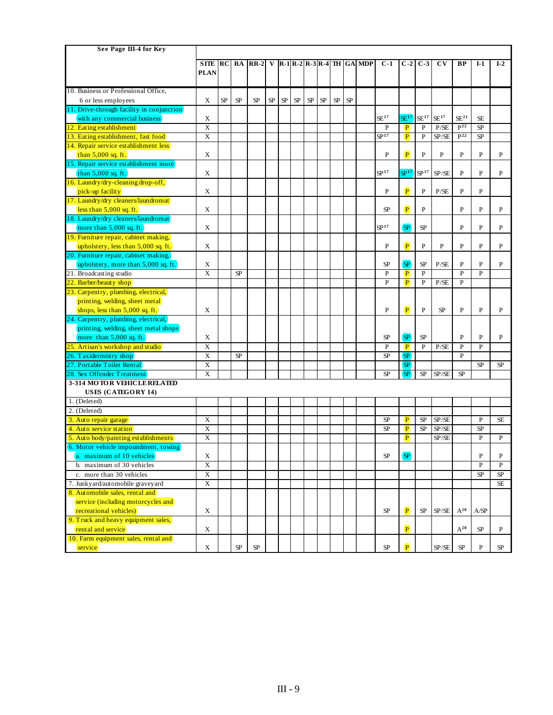| See Page III-4 for Key                     |                         |    |    |           |    |    |    |    |            |    |    |                                                                                    |                  |                             |                  |                        |                  |              |                |
|--------------------------------------------|-------------------------|----|----|-----------|----|----|----|----|------------|----|----|------------------------------------------------------------------------------------|------------------|-----------------------------|------------------|------------------------|------------------|--------------|----------------|
|                                            |                         |    |    |           |    |    |    |    |            |    |    |                                                                                    |                  |                             |                  |                        |                  |              |                |
|                                            | <b>SITE RC</b>          |    | RA | $RR-2$    |    |    |    |    |            |    |    | V $\left  R-1\right  R-2\left  R-3\right  R-4\left  TH\right  GA\left  MDP\right $ | $C-1$            | $C-2$                       | $C-3$            | $\mathbf{C}\mathbf{V}$ | <b>BP</b>        | $I-1$        | $I-2$          |
|                                            | <b>PLAN</b>             |    |    |           |    |    |    |    |            |    |    |                                                                                    |                  |                             |                  |                        |                  |              |                |
|                                            |                         |    |    |           |    |    |    |    |            |    |    |                                                                                    |                  |                             |                  |                        |                  |              |                |
| 10. Business or Professional Office,       |                         |    |    |           |    |    |    |    |            |    |    |                                                                                    |                  |                             |                  |                        |                  |              |                |
| 6 or less employees                        | X                       | SP | SP | <b>SP</b> | SP | SP | SP | SP | ${\rm SP}$ | SP | SP |                                                                                    |                  |                             |                  |                        |                  |              |                |
| 11. Drive-through facility in conjunction) |                         |    |    |           |    |    |    |    |            |    |    |                                                                                    |                  |                             |                  |                        |                  |              |                |
| with any commercial business               | X                       |    |    |           |    |    |    |    |            |    |    |                                                                                    | SE <sup>17</sup> | SE <sup>17</sup>            | SE <sup>17</sup> | SE <sup>17</sup>       | SE <sup>21</sup> | <b>SE</b>    |                |
| 12. Eating establishment                   | X                       |    |    |           |    |    |    |    |            |    |    |                                                                                    | P                | P                           | P                | P/SE                   | $P^{22}$         | SP           |                |
| 13. Eating establishment, fast food        | X                       |    |    |           |    |    |    |    |            |    |    |                                                                                    | SP <sup>17</sup> | $\left  \mathbf{P} \right $ | $\mathbf{P}$     | SP/SE                  | $P^{22}$         | SP           |                |
| 14. Repair service establishment less      |                         |    |    |           |    |    |    |    |            |    |    |                                                                                    |                  |                             |                  |                        |                  |              |                |
| than $5,000$ sq. ft.                       | X                       |    |    |           |    |    |    |    |            |    |    |                                                                                    | $\mathbf{P}$     | $\mathbf{P}$                | P                | $\mathbf{P}$           | $\mathbf{P}$     | $\mathbf{P}$ | P              |
| 15. Repair service establishment more      |                         |    |    |           |    |    |    |    |            |    |    |                                                                                    |                  |                             |                  |                        |                  |              |                |
| than $5,000$ sq. ft.                       | X                       |    |    |           |    |    |    |    |            |    |    |                                                                                    | SP <sup>17</sup> | SP <sup>17</sup>            | SP <sup>17</sup> | SP/SE                  | P                | P            | P              |
| 16. Laundry/dry-cleaning drop-off,         |                         |    |    |           |    |    |    |    |            |    |    |                                                                                    |                  |                             |                  |                        |                  |              |                |
| pick-up facility                           | X                       |    |    |           |    |    |    |    |            |    |    |                                                                                    | P                | $\left  \mathbf{P} \right $ | P                | P/SE                   | $\mathbf{P}$     | P            |                |
| 17. Laundry/dry cleaners/laundromat)       |                         |    |    |           |    |    |    |    |            |    |    |                                                                                    |                  |                             |                  |                        |                  |              |                |
| less than $5,000$ sq. ft.                  | X                       |    |    |           |    |    |    |    |            |    |    |                                                                                    | <b>SP</b>        | $\left  \mathbf{P} \right $ | P                |                        | P                | P            | P              |
| 18. Laundry/dry cleaners/laundromat        |                         |    |    |           |    |    |    |    |            |    |    |                                                                                    |                  |                             |                  |                        |                  |              |                |
| more than $5,000$ sq. ft.                  | X                       |    |    |           |    |    |    |    |            |    |    |                                                                                    | SP <sup>17</sup> | <b>SP</b>                   | ${\rm SP}$       |                        | P                | P            | P              |
| 19. Furniture repair, cabinet making,      |                         |    |    |           |    |    |    |    |            |    |    |                                                                                    |                  |                             |                  |                        |                  |              |                |
| upholstery, less than 5,000 sq. ft.        | X                       |    |    |           |    |    |    |    |            |    |    |                                                                                    | P                | $\left  \mathbf{P} \right $ | P                | P                      | P                | P            | P              |
| 20. Furniture repair, cabinet making,      |                         |    |    |           |    |    |    |    |            |    |    |                                                                                    |                  |                             |                  |                        |                  |              |                |
| upholstery, more than 5,000 sq. ft.        | X                       |    |    |           |    |    |    |    |            |    |    |                                                                                    | <b>SP</b>        | SP                          | ${\rm SP}$       | P/SE                   | $\mathbf{P}$     | P            | P              |
| 21. Broadcasting studio                    | X                       |    | SP |           |    |    |    |    |            |    |    |                                                                                    | P                | P                           | ${\bf P}$        |                        | $\mathbf{P}$     | $\mathbf{P}$ |                |
| $[22.$ Barber/beauty shop                  |                         |    |    |           |    |    |    |    |            |    |    |                                                                                    | P                | $\left  \mathbf{P} \right $ | P                | P/SE                   | P                |              |                |
| [23. Carpentry, plumbing, electrical,]     |                         |    |    |           |    |    |    |    |            |    |    |                                                                                    |                  |                             |                  |                        |                  |              |                |
| printing, welding, sheet metal)            |                         |    |    |           |    |    |    |    |            |    |    |                                                                                    |                  |                             |                  |                        |                  |              |                |
| shops, less than 5,000 sq. ft.             | X                       |    |    |           |    |    |    |    |            |    |    |                                                                                    | $\, {\bf P}$     | $\left  \mathbf{P} \right $ | ${\bf P}$        | SP                     | $\, {\bf P}$     | $\mathbf{P}$ | $\mathbf P$    |
| [24. Carpentry, plumbing, electrical,]     |                         |    |    |           |    |    |    |    |            |    |    |                                                                                    |                  |                             |                  |                        |                  |              |                |
| printing, welding, sheet metal shops       |                         |    |    |           |    |    |    |    |            |    |    |                                                                                    |                  |                             |                  |                        |                  |              |                |
| more than $5,000$ sq. ft.                  | Χ                       |    |    |           |    |    |    |    |            |    |    |                                                                                    | <b>SP</b>        | <b>SP</b>                   | SP               |                        | $\mathbf{P}$     | P            | P              |
| 25. Artisan's workshop and studio          | $\overline{\mathbf{x}}$ |    |    |           |    |    |    |    |            |    |    |                                                                                    | $\mathbf{P}$     | $\left  \mathbf{P} \right $ | $\mathbf{P}$     | P/SE                   | $\mathbf{P}$     | P            |                |
| 26. Taxidermistry shop                     | X                       |    | SP |           |    |    |    |    |            |    |    |                                                                                    | <b>SP</b>        | SP                          |                  |                        | P                |              |                |
| 27. Portable Toilet Rental                 | X                       |    |    |           |    |    |    |    |            |    |    |                                                                                    |                  | <b>SP</b>                   |                  |                        |                  | SP           | SP             |
| 28. Sex Offender Treatment                 | X                       |    |    |           |    |    |    |    |            |    |    |                                                                                    | <b>SP</b>        | SP                          | ${\rm SP}$       | SP/SE                  | SP               |              |                |
| 3-314 MOTOR VEHICLE RELATED                |                         |    |    |           |    |    |    |    |            |    |    |                                                                                    |                  |                             |                  |                        |                  |              |                |
| USES (CATEGORY 14)                         |                         |    |    |           |    |    |    |    |            |    |    |                                                                                    |                  |                             |                  |                        |                  |              |                |
| 1. (Deleted)                               |                         |    |    |           |    |    |    |    |            |    |    |                                                                                    |                  |                             |                  |                        |                  |              |                |
| $2.$ (Deleted)                             |                         |    |    |           |    |    |    |    |            |    |    |                                                                                    |                  |                             |                  |                        |                  |              |                |
| 3. Auto repair garage                      | X                       |    |    |           |    |    |    |    |            |    |    |                                                                                    | <b>SP</b>        | $\mathbf{P}$                | SP               | SP/SE                  |                  | P            | <b>SE</b>      |
| 4. Auto service station                    | $\overline{\mathbf{X}}$ |    |    |           |    |    |    |    |            |    |    |                                                                                    | <b>SP</b>        | $\mathbf{P}$                | ${\rm SP}$       | SP/SE                  |                  | SP           |                |
| 5. Auto body/painting establishments       | X                       |    |    |           |    |    |    |    |            |    |    |                                                                                    |                  | $\mathbf{P}$                |                  | SP/SE                  |                  | $\mathbf{P}$ | $\mathbf{P}$   |
| 6. Motor vehicle impoundment, towing       |                         |    |    |           |    |    |    |    |            |    |    |                                                                                    |                  |                             |                  |                        |                  |              |                |
| (a. maximum of 10 vehicles)                | X                       |    |    |           |    |    |    |    |            |    |    |                                                                                    | SP               | SP                          |                  |                        |                  | P            | $\mathbf P$    |
| b. maximum of 30 vehicles                  | $\overline{\mathbf{X}}$ |    |    |           |    |    |    |    |            |    |    |                                                                                    |                  |                             |                  |                        |                  | $\mathbf{P}$ | $\overline{P}$ |
| c. more than 30 vehicles                   | $\overline{X}$          |    |    |           |    |    |    |    |            |    |    |                                                                                    |                  |                             |                  |                        |                  | SP           | SP             |
| 7. Junkyard/automobile graveyard           | $\overline{\mathbf{X}}$ |    |    |           |    |    |    |    |            |    |    |                                                                                    |                  |                             |                  |                        |                  |              | $\rm SE$       |
| 8. Automobile sales, rental and            |                         |    |    |           |    |    |    |    |            |    |    |                                                                                    |                  |                             |                  |                        |                  |              |                |
| service (including motorcycles and)        |                         |    |    |           |    |    |    |    |            |    |    |                                                                                    |                  |                             |                  |                        |                  |              |                |
| (recreational vehicles)                    | X                       |    |    |           |    |    |    |    |            |    |    |                                                                                    | <b>SP</b>        | $\left  \mathbf{P} \right $ | SP               | SP/SE                  | $A^{20}$         | A/SP         |                |
| 9. Truck and heavy equipment sales,        |                         |    |    |           |    |    |    |    |            |    |    |                                                                                    |                  |                             |                  |                        |                  |              |                |
| rental and service                         | X                       |    |    |           |    |    |    |    |            |    |    |                                                                                    |                  | (P)                         |                  |                        | $A^{20}$         | <b>SP</b>    | P              |
| 10. Farm equipment sales, rental and       |                         |    |    |           |    |    |    |    |            |    |    |                                                                                    |                  |                             |                  |                        |                  |              |                |
| service                                    | $\mathbf X$             |    | SP | SP        |    |    |    |    |            |    |    |                                                                                    | ${\rm SP}$       | (P)                         |                  | SP/SE                  | ${\rm SP}$       | $\mathbf{P}$ | ${\rm SP}$     |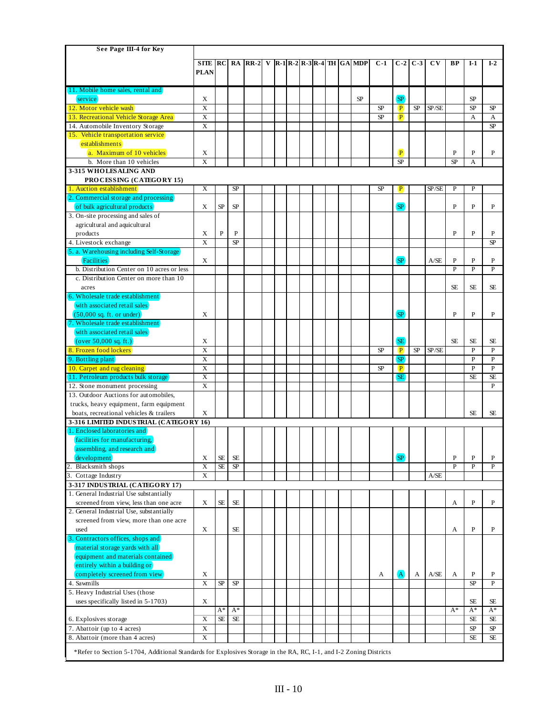| <b>SITE</b><br>RC<br>RA<br>$\left  R-1\right  R-2\left  R-3\right  R-4\left  TH\right  G A\right  MDP$<br>$C-1$<br>$I-2$<br>$RR-2$<br>$C-2$<br>$C-3$<br>$\mathbf{C}\mathbf{V}$<br>BP<br>$I-1$<br>V<br><b>PLAN</b><br>[11. Mobile home sales, rental and]<br>(SP)<br>SP<br>X<br><b>SP</b><br>service<br>$\overline{X}$<br>SP<br>12. Motor vehicle wash<br>SP<br>SP<br>SP/SE<br>SP<br>$\left  \mathbf{P} \right $<br>X<br>SP<br>$\mathbf{P}$<br>13. Recreational Vehicle Storage Area<br>A<br>А<br>X<br>14. Automobile Inventory Storage<br>SP<br>15. Vehicle transportation service<br>establishments<br>$\mathbf{P}$<br>a. Maximum of 10 vehicles<br>P<br>P<br>X<br>P<br>X<br>b. More than 10 vehicles<br>SP<br><b>SP</b><br>A<br>3-315 WHOLESALING AND<br>PROCESSING (CATEGORY 15)<br>1. Auction establishment<br>X<br>SP<br>SP<br>$\mathbf{P}$<br>SP/SE<br>P<br>P<br>(2. Commercial storage and processing)<br>(SP)<br>${\rm SP}$<br>${\rm SP}$<br>of bulk agricultural products<br>X<br>P<br>P<br>P<br>3. On-site processing and sales of<br>agricultural and aquicultural<br>$\mathbf{P}$<br>$\overline{P}$<br>$\overline{P}$<br>X<br>P<br>P<br>products<br>$\overline{\mathbf{X}}$<br>4. Livestock exchange<br><b>SP</b><br>SP<br>5. a. Warehousing including Self-Storage<br>(SP)<br>Facilities<br>X<br>A/SE<br>P<br>P<br>P<br>b. Distribution Center on 10 acres or less<br>P<br>P<br>P<br>c. Distribution Center on more than 10<br><b>SE</b><br><b>SE</b><br><b>SE</b><br>acres<br>6. Wholesale trade establishment<br>with associated retail sales<br>(SP)<br>X<br>P<br>P<br>$(50,000 \text{ sq. ft. or under})$<br>P<br>7. Wholesale trade establishment<br>with associated retail sales<br>(SE<br>X<br><b>SE</b><br><b>SE</b><br>(over 50,000 sq. ft.)<br>SE<br>8. Frozen food lockers<br>X<br>SP<br>$\left( P\right)$<br>SP<br>SP/SE<br>$\mathbf{P}$<br>P<br>X<br><b>SP</b><br>$\mathbf{P}$<br>$\mathbf{P}$<br>9. Bottling plant<br>$\overline{X}$<br>$\overline{P}$<br>(10. Carpet and rug cleaning)<br>SP<br>$\mathbf{P}$<br>$\left  \mathbf{P} \right $<br>X<br><b>SE</b><br>11. Petroleum products bulk storage<br><b>SE</b><br><b>SE</b><br>$\overline{X}$<br>P<br>12. Stone monument processing<br>13. Outdoor Auctions for automobiles,<br>trucks, heavy equipment, farm equipment<br>boats, recreational vehicles & trailers<br><b>SE</b><br>X<br><b>SE</b><br>3-316 LIMITED INDUSTRIAL (CATEGORY 16)<br>1. Enclosed laboratories and<br>facilities for manufacturing,<br>(assembling, and research and)<br>$\left($ <sub>SP</sub><br>development)<br>X<br><b>SE</b><br><b>SE</b><br>P<br>P<br>P<br>SP<br>$\overline{X}$<br><b>SE</b><br>P<br>$\overline{P}$<br>$\mathbf{P}$<br>2.<br>Blacksmith shops<br>X<br>3. Cottage Industry<br>A/SE<br>3-317 INDUSTRIAL (CATEGORY 17)<br>1. General Industrial Use substantially<br>screened from view, less than one acre<br>X<br><b>SE</b><br><b>SE</b><br>P<br>P<br>A<br>2. General Industrial Use, substantially<br>screened from view, more than one acre<br>P<br>P<br>used<br>X<br>SE<br>A<br>3. Contractors offices, shops and<br>material storage yards with all<br>equipment and materials contained<br>entirely within a building or<br>(A)<br>completely screened from view<br>X<br>A/SE<br>$\mathbf P$<br>A<br>A<br>P<br>A<br>4. Sawmills<br>$\overline{X}$<br>SP<br><b>SP</b><br><b>SP</b><br>$\mathbf P$<br>5. Heavy Industrial Uses (those<br>X<br>uses specifically listed in 5-1703)<br>SE<br>SE<br>$A^*$<br>$A^*$<br>$A^*$<br>$A^*$<br>$A^*$<br>X<br><b>SE</b><br><b>SE</b><br><b>SE</b><br>SE<br>6. Explosives storage<br>$\mathbf X$<br>7. Abattoir (up to 4 acres)<br>SP<br>SP<br>8. Abattoir (more than 4 acres)<br>X<br><b>SE</b><br>SE<br>*Refer to Section 5-1704, Additional Standards for Explosives Storage in the RA, RC, I-1, and I-2 Zoning Districts | See Page III-4 for Key |  |  |  |  |  |  |  |  |  |  |
|--------------------------------------------------------------------------------------------------------------------------------------------------------------------------------------------------------------------------------------------------------------------------------------------------------------------------------------------------------------------------------------------------------------------------------------------------------------------------------------------------------------------------------------------------------------------------------------------------------------------------------------------------------------------------------------------------------------------------------------------------------------------------------------------------------------------------------------------------------------------------------------------------------------------------------------------------------------------------------------------------------------------------------------------------------------------------------------------------------------------------------------------------------------------------------------------------------------------------------------------------------------------------------------------------------------------------------------------------------------------------------------------------------------------------------------------------------------------------------------------------------------------------------------------------------------------------------------------------------------------------------------------------------------------------------------------------------------------------------------------------------------------------------------------------------------------------------------------------------------------------------------------------------------------------------------------------------------------------------------------------------------------------------------------------------------------------------------------------------------------------------------------------------------------------------------------------------------------------------------------------------------------------------------------------------------------------------------------------------------------------------------------------------------------------------------------------------------------------------------------------------------------------------------------------------------------------------------------------------------------------------------------------------------------------------------------------------------------------------------------------------------------------------------------------------------------------------------------------------------------------------------------------------------------------------------------------------------------------------------------------------------------------------------------------------------------------------------------------------------------------------------------------------------------------------------------------------------------------------------------------------------------------------------------------------------------------------------------------------------------------------------------------------------------------------------------------------------------------------------------------------------------------------------------------------------------------------------------------------------------------------------------------------------------------------------------------------------------------------------------------------------------------------------------------------------------------------------------------|------------------------|--|--|--|--|--|--|--|--|--|--|
|                                                                                                                                                                                                                                                                                                                                                                                                                                                                                                                                                                                                                                                                                                                                                                                                                                                                                                                                                                                                                                                                                                                                                                                                                                                                                                                                                                                                                                                                                                                                                                                                                                                                                                                                                                                                                                                                                                                                                                                                                                                                                                                                                                                                                                                                                                                                                                                                                                                                                                                                                                                                                                                                                                                                                                                                                                                                                                                                                                                                                                                                                                                                                                                                                                                                                                                                                                                                                                                                                                                                                                                                                                                                                                                                                                                                                                                  |                        |  |  |  |  |  |  |  |  |  |  |
|                                                                                                                                                                                                                                                                                                                                                                                                                                                                                                                                                                                                                                                                                                                                                                                                                                                                                                                                                                                                                                                                                                                                                                                                                                                                                                                                                                                                                                                                                                                                                                                                                                                                                                                                                                                                                                                                                                                                                                                                                                                                                                                                                                                                                                                                                                                                                                                                                                                                                                                                                                                                                                                                                                                                                                                                                                                                                                                                                                                                                                                                                                                                                                                                                                                                                                                                                                                                                                                                                                                                                                                                                                                                                                                                                                                                                                                  |                        |  |  |  |  |  |  |  |  |  |  |
|                                                                                                                                                                                                                                                                                                                                                                                                                                                                                                                                                                                                                                                                                                                                                                                                                                                                                                                                                                                                                                                                                                                                                                                                                                                                                                                                                                                                                                                                                                                                                                                                                                                                                                                                                                                                                                                                                                                                                                                                                                                                                                                                                                                                                                                                                                                                                                                                                                                                                                                                                                                                                                                                                                                                                                                                                                                                                                                                                                                                                                                                                                                                                                                                                                                                                                                                                                                                                                                                                                                                                                                                                                                                                                                                                                                                                                                  |                        |  |  |  |  |  |  |  |  |  |  |
|                                                                                                                                                                                                                                                                                                                                                                                                                                                                                                                                                                                                                                                                                                                                                                                                                                                                                                                                                                                                                                                                                                                                                                                                                                                                                                                                                                                                                                                                                                                                                                                                                                                                                                                                                                                                                                                                                                                                                                                                                                                                                                                                                                                                                                                                                                                                                                                                                                                                                                                                                                                                                                                                                                                                                                                                                                                                                                                                                                                                                                                                                                                                                                                                                                                                                                                                                                                                                                                                                                                                                                                                                                                                                                                                                                                                                                                  |                        |  |  |  |  |  |  |  |  |  |  |
|                                                                                                                                                                                                                                                                                                                                                                                                                                                                                                                                                                                                                                                                                                                                                                                                                                                                                                                                                                                                                                                                                                                                                                                                                                                                                                                                                                                                                                                                                                                                                                                                                                                                                                                                                                                                                                                                                                                                                                                                                                                                                                                                                                                                                                                                                                                                                                                                                                                                                                                                                                                                                                                                                                                                                                                                                                                                                                                                                                                                                                                                                                                                                                                                                                                                                                                                                                                                                                                                                                                                                                                                                                                                                                                                                                                                                                                  |                        |  |  |  |  |  |  |  |  |  |  |
|                                                                                                                                                                                                                                                                                                                                                                                                                                                                                                                                                                                                                                                                                                                                                                                                                                                                                                                                                                                                                                                                                                                                                                                                                                                                                                                                                                                                                                                                                                                                                                                                                                                                                                                                                                                                                                                                                                                                                                                                                                                                                                                                                                                                                                                                                                                                                                                                                                                                                                                                                                                                                                                                                                                                                                                                                                                                                                                                                                                                                                                                                                                                                                                                                                                                                                                                                                                                                                                                                                                                                                                                                                                                                                                                                                                                                                                  |                        |  |  |  |  |  |  |  |  |  |  |
|                                                                                                                                                                                                                                                                                                                                                                                                                                                                                                                                                                                                                                                                                                                                                                                                                                                                                                                                                                                                                                                                                                                                                                                                                                                                                                                                                                                                                                                                                                                                                                                                                                                                                                                                                                                                                                                                                                                                                                                                                                                                                                                                                                                                                                                                                                                                                                                                                                                                                                                                                                                                                                                                                                                                                                                                                                                                                                                                                                                                                                                                                                                                                                                                                                                                                                                                                                                                                                                                                                                                                                                                                                                                                                                                                                                                                                                  |                        |  |  |  |  |  |  |  |  |  |  |
|                                                                                                                                                                                                                                                                                                                                                                                                                                                                                                                                                                                                                                                                                                                                                                                                                                                                                                                                                                                                                                                                                                                                                                                                                                                                                                                                                                                                                                                                                                                                                                                                                                                                                                                                                                                                                                                                                                                                                                                                                                                                                                                                                                                                                                                                                                                                                                                                                                                                                                                                                                                                                                                                                                                                                                                                                                                                                                                                                                                                                                                                                                                                                                                                                                                                                                                                                                                                                                                                                                                                                                                                                                                                                                                                                                                                                                                  |                        |  |  |  |  |  |  |  |  |  |  |
|                                                                                                                                                                                                                                                                                                                                                                                                                                                                                                                                                                                                                                                                                                                                                                                                                                                                                                                                                                                                                                                                                                                                                                                                                                                                                                                                                                                                                                                                                                                                                                                                                                                                                                                                                                                                                                                                                                                                                                                                                                                                                                                                                                                                                                                                                                                                                                                                                                                                                                                                                                                                                                                                                                                                                                                                                                                                                                                                                                                                                                                                                                                                                                                                                                                                                                                                                                                                                                                                                                                                                                                                                                                                                                                                                                                                                                                  |                        |  |  |  |  |  |  |  |  |  |  |
|                                                                                                                                                                                                                                                                                                                                                                                                                                                                                                                                                                                                                                                                                                                                                                                                                                                                                                                                                                                                                                                                                                                                                                                                                                                                                                                                                                                                                                                                                                                                                                                                                                                                                                                                                                                                                                                                                                                                                                                                                                                                                                                                                                                                                                                                                                                                                                                                                                                                                                                                                                                                                                                                                                                                                                                                                                                                                                                                                                                                                                                                                                                                                                                                                                                                                                                                                                                                                                                                                                                                                                                                                                                                                                                                                                                                                                                  |                        |  |  |  |  |  |  |  |  |  |  |
|                                                                                                                                                                                                                                                                                                                                                                                                                                                                                                                                                                                                                                                                                                                                                                                                                                                                                                                                                                                                                                                                                                                                                                                                                                                                                                                                                                                                                                                                                                                                                                                                                                                                                                                                                                                                                                                                                                                                                                                                                                                                                                                                                                                                                                                                                                                                                                                                                                                                                                                                                                                                                                                                                                                                                                                                                                                                                                                                                                                                                                                                                                                                                                                                                                                                                                                                                                                                                                                                                                                                                                                                                                                                                                                                                                                                                                                  |                        |  |  |  |  |  |  |  |  |  |  |
|                                                                                                                                                                                                                                                                                                                                                                                                                                                                                                                                                                                                                                                                                                                                                                                                                                                                                                                                                                                                                                                                                                                                                                                                                                                                                                                                                                                                                                                                                                                                                                                                                                                                                                                                                                                                                                                                                                                                                                                                                                                                                                                                                                                                                                                                                                                                                                                                                                                                                                                                                                                                                                                                                                                                                                                                                                                                                                                                                                                                                                                                                                                                                                                                                                                                                                                                                                                                                                                                                                                                                                                                                                                                                                                                                                                                                                                  |                        |  |  |  |  |  |  |  |  |  |  |
|                                                                                                                                                                                                                                                                                                                                                                                                                                                                                                                                                                                                                                                                                                                                                                                                                                                                                                                                                                                                                                                                                                                                                                                                                                                                                                                                                                                                                                                                                                                                                                                                                                                                                                                                                                                                                                                                                                                                                                                                                                                                                                                                                                                                                                                                                                                                                                                                                                                                                                                                                                                                                                                                                                                                                                                                                                                                                                                                                                                                                                                                                                                                                                                                                                                                                                                                                                                                                                                                                                                                                                                                                                                                                                                                                                                                                                                  |                        |  |  |  |  |  |  |  |  |  |  |
|                                                                                                                                                                                                                                                                                                                                                                                                                                                                                                                                                                                                                                                                                                                                                                                                                                                                                                                                                                                                                                                                                                                                                                                                                                                                                                                                                                                                                                                                                                                                                                                                                                                                                                                                                                                                                                                                                                                                                                                                                                                                                                                                                                                                                                                                                                                                                                                                                                                                                                                                                                                                                                                                                                                                                                                                                                                                                                                                                                                                                                                                                                                                                                                                                                                                                                                                                                                                                                                                                                                                                                                                                                                                                                                                                                                                                                                  |                        |  |  |  |  |  |  |  |  |  |  |
|                                                                                                                                                                                                                                                                                                                                                                                                                                                                                                                                                                                                                                                                                                                                                                                                                                                                                                                                                                                                                                                                                                                                                                                                                                                                                                                                                                                                                                                                                                                                                                                                                                                                                                                                                                                                                                                                                                                                                                                                                                                                                                                                                                                                                                                                                                                                                                                                                                                                                                                                                                                                                                                                                                                                                                                                                                                                                                                                                                                                                                                                                                                                                                                                                                                                                                                                                                                                                                                                                                                                                                                                                                                                                                                                                                                                                                                  |                        |  |  |  |  |  |  |  |  |  |  |
|                                                                                                                                                                                                                                                                                                                                                                                                                                                                                                                                                                                                                                                                                                                                                                                                                                                                                                                                                                                                                                                                                                                                                                                                                                                                                                                                                                                                                                                                                                                                                                                                                                                                                                                                                                                                                                                                                                                                                                                                                                                                                                                                                                                                                                                                                                                                                                                                                                                                                                                                                                                                                                                                                                                                                                                                                                                                                                                                                                                                                                                                                                                                                                                                                                                                                                                                                                                                                                                                                                                                                                                                                                                                                                                                                                                                                                                  |                        |  |  |  |  |  |  |  |  |  |  |
|                                                                                                                                                                                                                                                                                                                                                                                                                                                                                                                                                                                                                                                                                                                                                                                                                                                                                                                                                                                                                                                                                                                                                                                                                                                                                                                                                                                                                                                                                                                                                                                                                                                                                                                                                                                                                                                                                                                                                                                                                                                                                                                                                                                                                                                                                                                                                                                                                                                                                                                                                                                                                                                                                                                                                                                                                                                                                                                                                                                                                                                                                                                                                                                                                                                                                                                                                                                                                                                                                                                                                                                                                                                                                                                                                                                                                                                  |                        |  |  |  |  |  |  |  |  |  |  |
|                                                                                                                                                                                                                                                                                                                                                                                                                                                                                                                                                                                                                                                                                                                                                                                                                                                                                                                                                                                                                                                                                                                                                                                                                                                                                                                                                                                                                                                                                                                                                                                                                                                                                                                                                                                                                                                                                                                                                                                                                                                                                                                                                                                                                                                                                                                                                                                                                                                                                                                                                                                                                                                                                                                                                                                                                                                                                                                                                                                                                                                                                                                                                                                                                                                                                                                                                                                                                                                                                                                                                                                                                                                                                                                                                                                                                                                  |                        |  |  |  |  |  |  |  |  |  |  |
|                                                                                                                                                                                                                                                                                                                                                                                                                                                                                                                                                                                                                                                                                                                                                                                                                                                                                                                                                                                                                                                                                                                                                                                                                                                                                                                                                                                                                                                                                                                                                                                                                                                                                                                                                                                                                                                                                                                                                                                                                                                                                                                                                                                                                                                                                                                                                                                                                                                                                                                                                                                                                                                                                                                                                                                                                                                                                                                                                                                                                                                                                                                                                                                                                                                                                                                                                                                                                                                                                                                                                                                                                                                                                                                                                                                                                                                  |                        |  |  |  |  |  |  |  |  |  |  |
|                                                                                                                                                                                                                                                                                                                                                                                                                                                                                                                                                                                                                                                                                                                                                                                                                                                                                                                                                                                                                                                                                                                                                                                                                                                                                                                                                                                                                                                                                                                                                                                                                                                                                                                                                                                                                                                                                                                                                                                                                                                                                                                                                                                                                                                                                                                                                                                                                                                                                                                                                                                                                                                                                                                                                                                                                                                                                                                                                                                                                                                                                                                                                                                                                                                                                                                                                                                                                                                                                                                                                                                                                                                                                                                                                                                                                                                  |                        |  |  |  |  |  |  |  |  |  |  |
|                                                                                                                                                                                                                                                                                                                                                                                                                                                                                                                                                                                                                                                                                                                                                                                                                                                                                                                                                                                                                                                                                                                                                                                                                                                                                                                                                                                                                                                                                                                                                                                                                                                                                                                                                                                                                                                                                                                                                                                                                                                                                                                                                                                                                                                                                                                                                                                                                                                                                                                                                                                                                                                                                                                                                                                                                                                                                                                                                                                                                                                                                                                                                                                                                                                                                                                                                                                                                                                                                                                                                                                                                                                                                                                                                                                                                                                  |                        |  |  |  |  |  |  |  |  |  |  |
|                                                                                                                                                                                                                                                                                                                                                                                                                                                                                                                                                                                                                                                                                                                                                                                                                                                                                                                                                                                                                                                                                                                                                                                                                                                                                                                                                                                                                                                                                                                                                                                                                                                                                                                                                                                                                                                                                                                                                                                                                                                                                                                                                                                                                                                                                                                                                                                                                                                                                                                                                                                                                                                                                                                                                                                                                                                                                                                                                                                                                                                                                                                                                                                                                                                                                                                                                                                                                                                                                                                                                                                                                                                                                                                                                                                                                                                  |                        |  |  |  |  |  |  |  |  |  |  |
|                                                                                                                                                                                                                                                                                                                                                                                                                                                                                                                                                                                                                                                                                                                                                                                                                                                                                                                                                                                                                                                                                                                                                                                                                                                                                                                                                                                                                                                                                                                                                                                                                                                                                                                                                                                                                                                                                                                                                                                                                                                                                                                                                                                                                                                                                                                                                                                                                                                                                                                                                                                                                                                                                                                                                                                                                                                                                                                                                                                                                                                                                                                                                                                                                                                                                                                                                                                                                                                                                                                                                                                                                                                                                                                                                                                                                                                  |                        |  |  |  |  |  |  |  |  |  |  |
|                                                                                                                                                                                                                                                                                                                                                                                                                                                                                                                                                                                                                                                                                                                                                                                                                                                                                                                                                                                                                                                                                                                                                                                                                                                                                                                                                                                                                                                                                                                                                                                                                                                                                                                                                                                                                                                                                                                                                                                                                                                                                                                                                                                                                                                                                                                                                                                                                                                                                                                                                                                                                                                                                                                                                                                                                                                                                                                                                                                                                                                                                                                                                                                                                                                                                                                                                                                                                                                                                                                                                                                                                                                                                                                                                                                                                                                  |                        |  |  |  |  |  |  |  |  |  |  |
|                                                                                                                                                                                                                                                                                                                                                                                                                                                                                                                                                                                                                                                                                                                                                                                                                                                                                                                                                                                                                                                                                                                                                                                                                                                                                                                                                                                                                                                                                                                                                                                                                                                                                                                                                                                                                                                                                                                                                                                                                                                                                                                                                                                                                                                                                                                                                                                                                                                                                                                                                                                                                                                                                                                                                                                                                                                                                                                                                                                                                                                                                                                                                                                                                                                                                                                                                                                                                                                                                                                                                                                                                                                                                                                                                                                                                                                  |                        |  |  |  |  |  |  |  |  |  |  |
|                                                                                                                                                                                                                                                                                                                                                                                                                                                                                                                                                                                                                                                                                                                                                                                                                                                                                                                                                                                                                                                                                                                                                                                                                                                                                                                                                                                                                                                                                                                                                                                                                                                                                                                                                                                                                                                                                                                                                                                                                                                                                                                                                                                                                                                                                                                                                                                                                                                                                                                                                                                                                                                                                                                                                                                                                                                                                                                                                                                                                                                                                                                                                                                                                                                                                                                                                                                                                                                                                                                                                                                                                                                                                                                                                                                                                                                  |                        |  |  |  |  |  |  |  |  |  |  |
|                                                                                                                                                                                                                                                                                                                                                                                                                                                                                                                                                                                                                                                                                                                                                                                                                                                                                                                                                                                                                                                                                                                                                                                                                                                                                                                                                                                                                                                                                                                                                                                                                                                                                                                                                                                                                                                                                                                                                                                                                                                                                                                                                                                                                                                                                                                                                                                                                                                                                                                                                                                                                                                                                                                                                                                                                                                                                                                                                                                                                                                                                                                                                                                                                                                                                                                                                                                                                                                                                                                                                                                                                                                                                                                                                                                                                                                  |                        |  |  |  |  |  |  |  |  |  |  |
|                                                                                                                                                                                                                                                                                                                                                                                                                                                                                                                                                                                                                                                                                                                                                                                                                                                                                                                                                                                                                                                                                                                                                                                                                                                                                                                                                                                                                                                                                                                                                                                                                                                                                                                                                                                                                                                                                                                                                                                                                                                                                                                                                                                                                                                                                                                                                                                                                                                                                                                                                                                                                                                                                                                                                                                                                                                                                                                                                                                                                                                                                                                                                                                                                                                                                                                                                                                                                                                                                                                                                                                                                                                                                                                                                                                                                                                  |                        |  |  |  |  |  |  |  |  |  |  |
|                                                                                                                                                                                                                                                                                                                                                                                                                                                                                                                                                                                                                                                                                                                                                                                                                                                                                                                                                                                                                                                                                                                                                                                                                                                                                                                                                                                                                                                                                                                                                                                                                                                                                                                                                                                                                                                                                                                                                                                                                                                                                                                                                                                                                                                                                                                                                                                                                                                                                                                                                                                                                                                                                                                                                                                                                                                                                                                                                                                                                                                                                                                                                                                                                                                                                                                                                                                                                                                                                                                                                                                                                                                                                                                                                                                                                                                  |                        |  |  |  |  |  |  |  |  |  |  |
|                                                                                                                                                                                                                                                                                                                                                                                                                                                                                                                                                                                                                                                                                                                                                                                                                                                                                                                                                                                                                                                                                                                                                                                                                                                                                                                                                                                                                                                                                                                                                                                                                                                                                                                                                                                                                                                                                                                                                                                                                                                                                                                                                                                                                                                                                                                                                                                                                                                                                                                                                                                                                                                                                                                                                                                                                                                                                                                                                                                                                                                                                                                                                                                                                                                                                                                                                                                                                                                                                                                                                                                                                                                                                                                                                                                                                                                  |                        |  |  |  |  |  |  |  |  |  |  |
|                                                                                                                                                                                                                                                                                                                                                                                                                                                                                                                                                                                                                                                                                                                                                                                                                                                                                                                                                                                                                                                                                                                                                                                                                                                                                                                                                                                                                                                                                                                                                                                                                                                                                                                                                                                                                                                                                                                                                                                                                                                                                                                                                                                                                                                                                                                                                                                                                                                                                                                                                                                                                                                                                                                                                                                                                                                                                                                                                                                                                                                                                                                                                                                                                                                                                                                                                                                                                                                                                                                                                                                                                                                                                                                                                                                                                                                  |                        |  |  |  |  |  |  |  |  |  |  |
|                                                                                                                                                                                                                                                                                                                                                                                                                                                                                                                                                                                                                                                                                                                                                                                                                                                                                                                                                                                                                                                                                                                                                                                                                                                                                                                                                                                                                                                                                                                                                                                                                                                                                                                                                                                                                                                                                                                                                                                                                                                                                                                                                                                                                                                                                                                                                                                                                                                                                                                                                                                                                                                                                                                                                                                                                                                                                                                                                                                                                                                                                                                                                                                                                                                                                                                                                                                                                                                                                                                                                                                                                                                                                                                                                                                                                                                  |                        |  |  |  |  |  |  |  |  |  |  |
|                                                                                                                                                                                                                                                                                                                                                                                                                                                                                                                                                                                                                                                                                                                                                                                                                                                                                                                                                                                                                                                                                                                                                                                                                                                                                                                                                                                                                                                                                                                                                                                                                                                                                                                                                                                                                                                                                                                                                                                                                                                                                                                                                                                                                                                                                                                                                                                                                                                                                                                                                                                                                                                                                                                                                                                                                                                                                                                                                                                                                                                                                                                                                                                                                                                                                                                                                                                                                                                                                                                                                                                                                                                                                                                                                                                                                                                  |                        |  |  |  |  |  |  |  |  |  |  |
|                                                                                                                                                                                                                                                                                                                                                                                                                                                                                                                                                                                                                                                                                                                                                                                                                                                                                                                                                                                                                                                                                                                                                                                                                                                                                                                                                                                                                                                                                                                                                                                                                                                                                                                                                                                                                                                                                                                                                                                                                                                                                                                                                                                                                                                                                                                                                                                                                                                                                                                                                                                                                                                                                                                                                                                                                                                                                                                                                                                                                                                                                                                                                                                                                                                                                                                                                                                                                                                                                                                                                                                                                                                                                                                                                                                                                                                  |                        |  |  |  |  |  |  |  |  |  |  |
|                                                                                                                                                                                                                                                                                                                                                                                                                                                                                                                                                                                                                                                                                                                                                                                                                                                                                                                                                                                                                                                                                                                                                                                                                                                                                                                                                                                                                                                                                                                                                                                                                                                                                                                                                                                                                                                                                                                                                                                                                                                                                                                                                                                                                                                                                                                                                                                                                                                                                                                                                                                                                                                                                                                                                                                                                                                                                                                                                                                                                                                                                                                                                                                                                                                                                                                                                                                                                                                                                                                                                                                                                                                                                                                                                                                                                                                  |                        |  |  |  |  |  |  |  |  |  |  |
|                                                                                                                                                                                                                                                                                                                                                                                                                                                                                                                                                                                                                                                                                                                                                                                                                                                                                                                                                                                                                                                                                                                                                                                                                                                                                                                                                                                                                                                                                                                                                                                                                                                                                                                                                                                                                                                                                                                                                                                                                                                                                                                                                                                                                                                                                                                                                                                                                                                                                                                                                                                                                                                                                                                                                                                                                                                                                                                                                                                                                                                                                                                                                                                                                                                                                                                                                                                                                                                                                                                                                                                                                                                                                                                                                                                                                                                  |                        |  |  |  |  |  |  |  |  |  |  |
|                                                                                                                                                                                                                                                                                                                                                                                                                                                                                                                                                                                                                                                                                                                                                                                                                                                                                                                                                                                                                                                                                                                                                                                                                                                                                                                                                                                                                                                                                                                                                                                                                                                                                                                                                                                                                                                                                                                                                                                                                                                                                                                                                                                                                                                                                                                                                                                                                                                                                                                                                                                                                                                                                                                                                                                                                                                                                                                                                                                                                                                                                                                                                                                                                                                                                                                                                                                                                                                                                                                                                                                                                                                                                                                                                                                                                                                  |                        |  |  |  |  |  |  |  |  |  |  |
|                                                                                                                                                                                                                                                                                                                                                                                                                                                                                                                                                                                                                                                                                                                                                                                                                                                                                                                                                                                                                                                                                                                                                                                                                                                                                                                                                                                                                                                                                                                                                                                                                                                                                                                                                                                                                                                                                                                                                                                                                                                                                                                                                                                                                                                                                                                                                                                                                                                                                                                                                                                                                                                                                                                                                                                                                                                                                                                                                                                                                                                                                                                                                                                                                                                                                                                                                                                                                                                                                                                                                                                                                                                                                                                                                                                                                                                  |                        |  |  |  |  |  |  |  |  |  |  |
|                                                                                                                                                                                                                                                                                                                                                                                                                                                                                                                                                                                                                                                                                                                                                                                                                                                                                                                                                                                                                                                                                                                                                                                                                                                                                                                                                                                                                                                                                                                                                                                                                                                                                                                                                                                                                                                                                                                                                                                                                                                                                                                                                                                                                                                                                                                                                                                                                                                                                                                                                                                                                                                                                                                                                                                                                                                                                                                                                                                                                                                                                                                                                                                                                                                                                                                                                                                                                                                                                                                                                                                                                                                                                                                                                                                                                                                  |                        |  |  |  |  |  |  |  |  |  |  |
|                                                                                                                                                                                                                                                                                                                                                                                                                                                                                                                                                                                                                                                                                                                                                                                                                                                                                                                                                                                                                                                                                                                                                                                                                                                                                                                                                                                                                                                                                                                                                                                                                                                                                                                                                                                                                                                                                                                                                                                                                                                                                                                                                                                                                                                                                                                                                                                                                                                                                                                                                                                                                                                                                                                                                                                                                                                                                                                                                                                                                                                                                                                                                                                                                                                                                                                                                                                                                                                                                                                                                                                                                                                                                                                                                                                                                                                  |                        |  |  |  |  |  |  |  |  |  |  |
|                                                                                                                                                                                                                                                                                                                                                                                                                                                                                                                                                                                                                                                                                                                                                                                                                                                                                                                                                                                                                                                                                                                                                                                                                                                                                                                                                                                                                                                                                                                                                                                                                                                                                                                                                                                                                                                                                                                                                                                                                                                                                                                                                                                                                                                                                                                                                                                                                                                                                                                                                                                                                                                                                                                                                                                                                                                                                                                                                                                                                                                                                                                                                                                                                                                                                                                                                                                                                                                                                                                                                                                                                                                                                                                                                                                                                                                  |                        |  |  |  |  |  |  |  |  |  |  |
|                                                                                                                                                                                                                                                                                                                                                                                                                                                                                                                                                                                                                                                                                                                                                                                                                                                                                                                                                                                                                                                                                                                                                                                                                                                                                                                                                                                                                                                                                                                                                                                                                                                                                                                                                                                                                                                                                                                                                                                                                                                                                                                                                                                                                                                                                                                                                                                                                                                                                                                                                                                                                                                                                                                                                                                                                                                                                                                                                                                                                                                                                                                                                                                                                                                                                                                                                                                                                                                                                                                                                                                                                                                                                                                                                                                                                                                  |                        |  |  |  |  |  |  |  |  |  |  |
|                                                                                                                                                                                                                                                                                                                                                                                                                                                                                                                                                                                                                                                                                                                                                                                                                                                                                                                                                                                                                                                                                                                                                                                                                                                                                                                                                                                                                                                                                                                                                                                                                                                                                                                                                                                                                                                                                                                                                                                                                                                                                                                                                                                                                                                                                                                                                                                                                                                                                                                                                                                                                                                                                                                                                                                                                                                                                                                                                                                                                                                                                                                                                                                                                                                                                                                                                                                                                                                                                                                                                                                                                                                                                                                                                                                                                                                  |                        |  |  |  |  |  |  |  |  |  |  |
|                                                                                                                                                                                                                                                                                                                                                                                                                                                                                                                                                                                                                                                                                                                                                                                                                                                                                                                                                                                                                                                                                                                                                                                                                                                                                                                                                                                                                                                                                                                                                                                                                                                                                                                                                                                                                                                                                                                                                                                                                                                                                                                                                                                                                                                                                                                                                                                                                                                                                                                                                                                                                                                                                                                                                                                                                                                                                                                                                                                                                                                                                                                                                                                                                                                                                                                                                                                                                                                                                                                                                                                                                                                                                                                                                                                                                                                  |                        |  |  |  |  |  |  |  |  |  |  |
|                                                                                                                                                                                                                                                                                                                                                                                                                                                                                                                                                                                                                                                                                                                                                                                                                                                                                                                                                                                                                                                                                                                                                                                                                                                                                                                                                                                                                                                                                                                                                                                                                                                                                                                                                                                                                                                                                                                                                                                                                                                                                                                                                                                                                                                                                                                                                                                                                                                                                                                                                                                                                                                                                                                                                                                                                                                                                                                                                                                                                                                                                                                                                                                                                                                                                                                                                                                                                                                                                                                                                                                                                                                                                                                                                                                                                                                  |                        |  |  |  |  |  |  |  |  |  |  |
|                                                                                                                                                                                                                                                                                                                                                                                                                                                                                                                                                                                                                                                                                                                                                                                                                                                                                                                                                                                                                                                                                                                                                                                                                                                                                                                                                                                                                                                                                                                                                                                                                                                                                                                                                                                                                                                                                                                                                                                                                                                                                                                                                                                                                                                                                                                                                                                                                                                                                                                                                                                                                                                                                                                                                                                                                                                                                                                                                                                                                                                                                                                                                                                                                                                                                                                                                                                                                                                                                                                                                                                                                                                                                                                                                                                                                                                  |                        |  |  |  |  |  |  |  |  |  |  |
|                                                                                                                                                                                                                                                                                                                                                                                                                                                                                                                                                                                                                                                                                                                                                                                                                                                                                                                                                                                                                                                                                                                                                                                                                                                                                                                                                                                                                                                                                                                                                                                                                                                                                                                                                                                                                                                                                                                                                                                                                                                                                                                                                                                                                                                                                                                                                                                                                                                                                                                                                                                                                                                                                                                                                                                                                                                                                                                                                                                                                                                                                                                                                                                                                                                                                                                                                                                                                                                                                                                                                                                                                                                                                                                                                                                                                                                  |                        |  |  |  |  |  |  |  |  |  |  |
|                                                                                                                                                                                                                                                                                                                                                                                                                                                                                                                                                                                                                                                                                                                                                                                                                                                                                                                                                                                                                                                                                                                                                                                                                                                                                                                                                                                                                                                                                                                                                                                                                                                                                                                                                                                                                                                                                                                                                                                                                                                                                                                                                                                                                                                                                                                                                                                                                                                                                                                                                                                                                                                                                                                                                                                                                                                                                                                                                                                                                                                                                                                                                                                                                                                                                                                                                                                                                                                                                                                                                                                                                                                                                                                                                                                                                                                  |                        |  |  |  |  |  |  |  |  |  |  |
|                                                                                                                                                                                                                                                                                                                                                                                                                                                                                                                                                                                                                                                                                                                                                                                                                                                                                                                                                                                                                                                                                                                                                                                                                                                                                                                                                                                                                                                                                                                                                                                                                                                                                                                                                                                                                                                                                                                                                                                                                                                                                                                                                                                                                                                                                                                                                                                                                                                                                                                                                                                                                                                                                                                                                                                                                                                                                                                                                                                                                                                                                                                                                                                                                                                                                                                                                                                                                                                                                                                                                                                                                                                                                                                                                                                                                                                  |                        |  |  |  |  |  |  |  |  |  |  |
|                                                                                                                                                                                                                                                                                                                                                                                                                                                                                                                                                                                                                                                                                                                                                                                                                                                                                                                                                                                                                                                                                                                                                                                                                                                                                                                                                                                                                                                                                                                                                                                                                                                                                                                                                                                                                                                                                                                                                                                                                                                                                                                                                                                                                                                                                                                                                                                                                                                                                                                                                                                                                                                                                                                                                                                                                                                                                                                                                                                                                                                                                                                                                                                                                                                                                                                                                                                                                                                                                                                                                                                                                                                                                                                                                                                                                                                  |                        |  |  |  |  |  |  |  |  |  |  |
|                                                                                                                                                                                                                                                                                                                                                                                                                                                                                                                                                                                                                                                                                                                                                                                                                                                                                                                                                                                                                                                                                                                                                                                                                                                                                                                                                                                                                                                                                                                                                                                                                                                                                                                                                                                                                                                                                                                                                                                                                                                                                                                                                                                                                                                                                                                                                                                                                                                                                                                                                                                                                                                                                                                                                                                                                                                                                                                                                                                                                                                                                                                                                                                                                                                                                                                                                                                                                                                                                                                                                                                                                                                                                                                                                                                                                                                  |                        |  |  |  |  |  |  |  |  |  |  |
|                                                                                                                                                                                                                                                                                                                                                                                                                                                                                                                                                                                                                                                                                                                                                                                                                                                                                                                                                                                                                                                                                                                                                                                                                                                                                                                                                                                                                                                                                                                                                                                                                                                                                                                                                                                                                                                                                                                                                                                                                                                                                                                                                                                                                                                                                                                                                                                                                                                                                                                                                                                                                                                                                                                                                                                                                                                                                                                                                                                                                                                                                                                                                                                                                                                                                                                                                                                                                                                                                                                                                                                                                                                                                                                                                                                                                                                  |                        |  |  |  |  |  |  |  |  |  |  |
|                                                                                                                                                                                                                                                                                                                                                                                                                                                                                                                                                                                                                                                                                                                                                                                                                                                                                                                                                                                                                                                                                                                                                                                                                                                                                                                                                                                                                                                                                                                                                                                                                                                                                                                                                                                                                                                                                                                                                                                                                                                                                                                                                                                                                                                                                                                                                                                                                                                                                                                                                                                                                                                                                                                                                                                                                                                                                                                                                                                                                                                                                                                                                                                                                                                                                                                                                                                                                                                                                                                                                                                                                                                                                                                                                                                                                                                  |                        |  |  |  |  |  |  |  |  |  |  |
|                                                                                                                                                                                                                                                                                                                                                                                                                                                                                                                                                                                                                                                                                                                                                                                                                                                                                                                                                                                                                                                                                                                                                                                                                                                                                                                                                                                                                                                                                                                                                                                                                                                                                                                                                                                                                                                                                                                                                                                                                                                                                                                                                                                                                                                                                                                                                                                                                                                                                                                                                                                                                                                                                                                                                                                                                                                                                                                                                                                                                                                                                                                                                                                                                                                                                                                                                                                                                                                                                                                                                                                                                                                                                                                                                                                                                                                  |                        |  |  |  |  |  |  |  |  |  |  |
|                                                                                                                                                                                                                                                                                                                                                                                                                                                                                                                                                                                                                                                                                                                                                                                                                                                                                                                                                                                                                                                                                                                                                                                                                                                                                                                                                                                                                                                                                                                                                                                                                                                                                                                                                                                                                                                                                                                                                                                                                                                                                                                                                                                                                                                                                                                                                                                                                                                                                                                                                                                                                                                                                                                                                                                                                                                                                                                                                                                                                                                                                                                                                                                                                                                                                                                                                                                                                                                                                                                                                                                                                                                                                                                                                                                                                                                  |                        |  |  |  |  |  |  |  |  |  |  |
|                                                                                                                                                                                                                                                                                                                                                                                                                                                                                                                                                                                                                                                                                                                                                                                                                                                                                                                                                                                                                                                                                                                                                                                                                                                                                                                                                                                                                                                                                                                                                                                                                                                                                                                                                                                                                                                                                                                                                                                                                                                                                                                                                                                                                                                                                                                                                                                                                                                                                                                                                                                                                                                                                                                                                                                                                                                                                                                                                                                                                                                                                                                                                                                                                                                                                                                                                                                                                                                                                                                                                                                                                                                                                                                                                                                                                                                  |                        |  |  |  |  |  |  |  |  |  |  |
|                                                                                                                                                                                                                                                                                                                                                                                                                                                                                                                                                                                                                                                                                                                                                                                                                                                                                                                                                                                                                                                                                                                                                                                                                                                                                                                                                                                                                                                                                                                                                                                                                                                                                                                                                                                                                                                                                                                                                                                                                                                                                                                                                                                                                                                                                                                                                                                                                                                                                                                                                                                                                                                                                                                                                                                                                                                                                                                                                                                                                                                                                                                                                                                                                                                                                                                                                                                                                                                                                                                                                                                                                                                                                                                                                                                                                                                  |                        |  |  |  |  |  |  |  |  |  |  |
|                                                                                                                                                                                                                                                                                                                                                                                                                                                                                                                                                                                                                                                                                                                                                                                                                                                                                                                                                                                                                                                                                                                                                                                                                                                                                                                                                                                                                                                                                                                                                                                                                                                                                                                                                                                                                                                                                                                                                                                                                                                                                                                                                                                                                                                                                                                                                                                                                                                                                                                                                                                                                                                                                                                                                                                                                                                                                                                                                                                                                                                                                                                                                                                                                                                                                                                                                                                                                                                                                                                                                                                                                                                                                                                                                                                                                                                  |                        |  |  |  |  |  |  |  |  |  |  |
|                                                                                                                                                                                                                                                                                                                                                                                                                                                                                                                                                                                                                                                                                                                                                                                                                                                                                                                                                                                                                                                                                                                                                                                                                                                                                                                                                                                                                                                                                                                                                                                                                                                                                                                                                                                                                                                                                                                                                                                                                                                                                                                                                                                                                                                                                                                                                                                                                                                                                                                                                                                                                                                                                                                                                                                                                                                                                                                                                                                                                                                                                                                                                                                                                                                                                                                                                                                                                                                                                                                                                                                                                                                                                                                                                                                                                                                  |                        |  |  |  |  |  |  |  |  |  |  |
|                                                                                                                                                                                                                                                                                                                                                                                                                                                                                                                                                                                                                                                                                                                                                                                                                                                                                                                                                                                                                                                                                                                                                                                                                                                                                                                                                                                                                                                                                                                                                                                                                                                                                                                                                                                                                                                                                                                                                                                                                                                                                                                                                                                                                                                                                                                                                                                                                                                                                                                                                                                                                                                                                                                                                                                                                                                                                                                                                                                                                                                                                                                                                                                                                                                                                                                                                                                                                                                                                                                                                                                                                                                                                                                                                                                                                                                  |                        |  |  |  |  |  |  |  |  |  |  |
|                                                                                                                                                                                                                                                                                                                                                                                                                                                                                                                                                                                                                                                                                                                                                                                                                                                                                                                                                                                                                                                                                                                                                                                                                                                                                                                                                                                                                                                                                                                                                                                                                                                                                                                                                                                                                                                                                                                                                                                                                                                                                                                                                                                                                                                                                                                                                                                                                                                                                                                                                                                                                                                                                                                                                                                                                                                                                                                                                                                                                                                                                                                                                                                                                                                                                                                                                                                                                                                                                                                                                                                                                                                                                                                                                                                                                                                  |                        |  |  |  |  |  |  |  |  |  |  |
|                                                                                                                                                                                                                                                                                                                                                                                                                                                                                                                                                                                                                                                                                                                                                                                                                                                                                                                                                                                                                                                                                                                                                                                                                                                                                                                                                                                                                                                                                                                                                                                                                                                                                                                                                                                                                                                                                                                                                                                                                                                                                                                                                                                                                                                                                                                                                                                                                                                                                                                                                                                                                                                                                                                                                                                                                                                                                                                                                                                                                                                                                                                                                                                                                                                                                                                                                                                                                                                                                                                                                                                                                                                                                                                                                                                                                                                  |                        |  |  |  |  |  |  |  |  |  |  |
|                                                                                                                                                                                                                                                                                                                                                                                                                                                                                                                                                                                                                                                                                                                                                                                                                                                                                                                                                                                                                                                                                                                                                                                                                                                                                                                                                                                                                                                                                                                                                                                                                                                                                                                                                                                                                                                                                                                                                                                                                                                                                                                                                                                                                                                                                                                                                                                                                                                                                                                                                                                                                                                                                                                                                                                                                                                                                                                                                                                                                                                                                                                                                                                                                                                                                                                                                                                                                                                                                                                                                                                                                                                                                                                                                                                                                                                  |                        |  |  |  |  |  |  |  |  |  |  |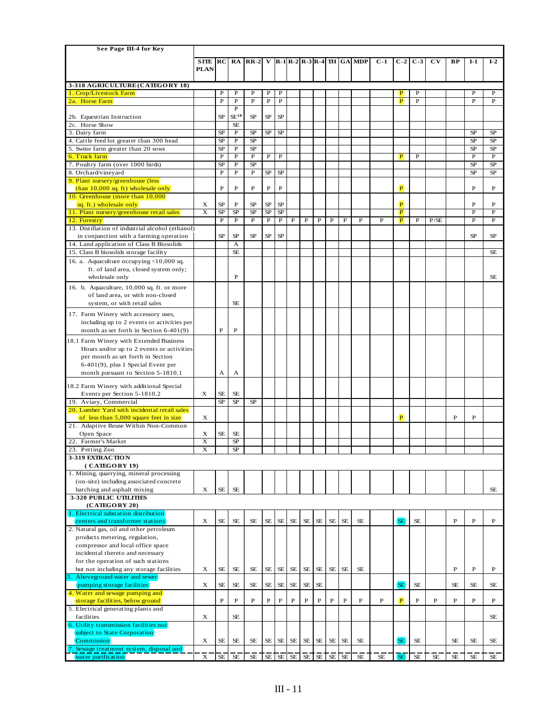| See Page III-4 for Key                                                         |                |                    |                            |                   |                   |                |                |                |             |              |             |                                                                                                                                                                                                                |                          |                                  |              |             |             |                     |                         |
|--------------------------------------------------------------------------------|----------------|--------------------|----------------------------|-------------------|-------------------|----------------|----------------|----------------|-------------|--------------|-------------|----------------------------------------------------------------------------------------------------------------------------------------------------------------------------------------------------------------|--------------------------|----------------------------------|--------------|-------------|-------------|---------------------|-------------------------|
|                                                                                | <b>SITE</b>    | RC                 | RA                         | $RR-2$            |                   |                |                |                |             |              |             | $R-1 R-2 R-3 R-4 $ TH $ GA $ MDP                                                                                                                                                                               | $C-1$                    | $C-2$                            | $C-3$        | CV          | BP          | $I-1$               | $I-2$                   |
|                                                                                | <b>PLAN</b>    |                    |                            |                   |                   |                |                |                |             |              |             |                                                                                                                                                                                                                |                          |                                  |              |             |             |                     |                         |
|                                                                                |                |                    |                            |                   |                   |                |                |                |             |              |             |                                                                                                                                                                                                                |                          |                                  |              |             |             |                     |                         |
| 3-318 AGRICULTURE (CATEGORY 18)                                                |                | P                  | $\mathbf P$                | P                 |                   | P              |                |                |             |              |             |                                                                                                                                                                                                                |                          |                                  | P            |             |             |                     | P                       |
| 1. Crop/Livestock Farm<br>2a. Horse Farm                                       |                | $\overline{P}$     | $\overline{\mathbf{P}}$    | $\overline{P}$    | P<br>$\, {\bf P}$ | $\mathbf P$    |                |                |             |              |             |                                                                                                                                                                                                                |                          | P<br>$\left  \mathbf{P} \right $ | $\mathbf{P}$ |             |             | P<br>$\overline{P}$ | $\overline{P}$          |
|                                                                                |                |                    | $\, {\bf P}$               |                   |                   |                |                |                |             |              |             |                                                                                                                                                                                                                |                          |                                  |              |             |             |                     |                         |
| 2b. Equestrian Instruction                                                     |                | <b>SP</b>          | $SE^{18}$                  | SP                | SP                | $\rm SP$       |                |                |             |              |             |                                                                                                                                                                                                                |                          |                                  |              |             |             |                     |                         |
| 2c. Horse Show                                                                 |                |                    | <b>SE</b>                  |                   |                   |                |                |                |             |              |             |                                                                                                                                                                                                                |                          |                                  |              |             |             |                     |                         |
| 3. Dairy farm                                                                  |                | <b>SP</b>          | $\mathbf P$                | SP                | SP                | SP             |                |                |             |              |             |                                                                                                                                                                                                                |                          |                                  |              |             |             | <b>SP</b>           | SP                      |
| 4. Cattle feed lot greater than 300 head                                       |                | SP                 | P                          | SP                |                   |                |                |                |             |              |             |                                                                                                                                                                                                                |                          |                                  |              |             |             | <b>SP</b>           | SP                      |
| 5. Swine farm greater than 20 sows                                             |                | SP<br>$\, {\bf P}$ | $\mathbf P$<br>$\mathbf P$ | SP<br>$\mathbf P$ | $\, {\bf P}$      | $\mathbf P$    |                |                |             |              |             |                                                                                                                                                                                                                |                          | P.                               | $\mathbf P$  |             |             | <b>SP</b><br>P      | $\rm SP$<br>$\mathbf P$ |
| 6. Truck farm<br>7. Poultry farm (over 1000 birds)                             |                | SP                 | $\mathbf P$                | SP                |                   |                |                |                |             |              |             |                                                                                                                                                                                                                |                          |                                  |              |             |             | <b>SP</b>           | SP                      |
| 8. Orchard/vineyard                                                            |                | ${\bf P}$          | $\mathbf P$                | $\mathbf P$       | SP                | <b>SP</b>      |                |                |             |              |             |                                                                                                                                                                                                                |                          |                                  |              |             |             | <b>SP</b>           | SP                      |
| 9. Plant nursery/greenhouse (less                                              |                |                    |                            |                   |                   |                |                |                |             |              |             |                                                                                                                                                                                                                |                          |                                  |              |             |             |                     |                         |
| than 10,000 sq. ft) wholesale only                                             |                | $\, {\bf P}$       | $\mathbf P$                | $\, {\bf P}$      | $\, {\bf P}$      | $\, {\bf P}$   |                |                |             |              |             |                                                                                                                                                                                                                |                          | (P)                              |              |             |             | $\mathbf P$         | P                       |
| 10. Greenhouse (more than 10,000)                                              |                |                    |                            |                   |                   |                |                |                |             |              |             |                                                                                                                                                                                                                |                          |                                  |              |             |             |                     |                         |
| sq. ft.) wholesale only                                                        | X              | <b>SP</b>          | P                          | SP                | <b>SP</b>         | $\rm SP$       |                |                |             |              |             |                                                                                                                                                                                                                |                          | $\overline{P}$                   |              |             |             | P                   | P                       |
| 11. Plant nursery/greenhouse retail sales                                      | X              | <b>SP</b>          | SP                         | SP                | SP                | $\rm SP$       |                |                |             |              |             |                                                                                                                                                                                                                |                          | $\overline{P}$                   |              |             |             | P                   | ${\bf P}$               |
| 12. Forestry<br>13. Distillation of industrial alcohol (ethanol)               |                | $\overline{P}$     | $\overline{P}$             | $\overline{P}$    | $\overline{P}$    | $\overline{P}$ | $\overline{P}$ | $\overline{P}$ | $\mathbf P$ | $\mathbf P$  | $\mathbf P$ | P                                                                                                                                                                                                              | $\mathbf P$              | $\overline{\mathbf{P}}$          | $\mathbf P$  | P/SE        |             | P                   | $\overline{P}$          |
| in conjunction with a farming operation                                        |                | <b>SP</b>          | SP                         | SP                | SP                | SP             |                |                |             |              |             |                                                                                                                                                                                                                |                          |                                  |              |             |             | <b>SP</b>           | <b>SP</b>               |
| 14. Land application of Class B Biosolids                                      |                |                    | A                          |                   |                   |                |                |                |             |              |             |                                                                                                                                                                                                                |                          |                                  |              |             |             |                     |                         |
| 15. Class B biosolids storage facility                                         |                |                    | SE                         |                   |                   |                |                |                |             |              |             |                                                                                                                                                                                                                |                          |                                  |              |             |             |                     | <b>SE</b>               |
| 16. a. Aquaculture occupying <10,000 sq.                                       |                |                    |                            |                   |                   |                |                |                |             |              |             |                                                                                                                                                                                                                |                          |                                  |              |             |             |                     |                         |
| ft. of land area, closed system only;                                          |                |                    |                            |                   |                   |                |                |                |             |              |             |                                                                                                                                                                                                                |                          |                                  |              |             |             |                     |                         |
| wholesale only                                                                 |                |                    | $\mathbf P$                |                   |                   |                |                |                |             |              |             |                                                                                                                                                                                                                |                          |                                  |              |             |             |                     | <b>SE</b>               |
| 16. b. Aquaculture, 10,000 sq. ft. or more                                     |                |                    |                            |                   |                   |                |                |                |             |              |             |                                                                                                                                                                                                                |                          |                                  |              |             |             |                     |                         |
| of land area, or with non-closed                                               |                |                    |                            |                   |                   |                |                |                |             |              |             |                                                                                                                                                                                                                |                          |                                  |              |             |             |                     |                         |
| system, or with retail sales                                                   |                |                    | $\rm SE$                   |                   |                   |                |                |                |             |              |             |                                                                                                                                                                                                                |                          |                                  |              |             |             |                     |                         |
| 17. Farm Winery with accessory uses,                                           |                |                    |                            |                   |                   |                |                |                |             |              |             |                                                                                                                                                                                                                |                          |                                  |              |             |             |                     |                         |
| including up to 2 events or activities per                                     |                |                    |                            |                   |                   |                |                |                |             |              |             |                                                                                                                                                                                                                |                          |                                  |              |             |             |                     |                         |
| month as set forth in Section 6-401(9)                                         |                | $\, {\bf P}$       | $\mathbf P$                |                   |                   |                |                |                |             |              |             |                                                                                                                                                                                                                |                          |                                  |              |             |             |                     |                         |
| 18.1 Farm Winery with Extended Business                                        |                |                    |                            |                   |                   |                |                |                |             |              |             |                                                                                                                                                                                                                |                          |                                  |              |             |             |                     |                         |
| Hours and/or up to 2 events or activities                                      |                |                    |                            |                   |                   |                |                |                |             |              |             |                                                                                                                                                                                                                |                          |                                  |              |             |             |                     |                         |
| per month as set forth in Section                                              |                |                    |                            |                   |                   |                |                |                |             |              |             |                                                                                                                                                                                                                |                          |                                  |              |             |             |                     |                         |
| $6-401(9)$ , plus 1 Special Event per                                          |                |                    |                            |                   |                   |                |                |                |             |              |             |                                                                                                                                                                                                                |                          |                                  |              |             |             |                     |                         |
| month pursuant to Section 5-1810.1                                             |                | А                  | А                          |                   |                   |                |                |                |             |              |             |                                                                                                                                                                                                                |                          |                                  |              |             |             |                     |                         |
| 18.2 Farm Winery with additional Special                                       |                |                    |                            |                   |                   |                |                |                |             |              |             |                                                                                                                                                                                                                |                          |                                  |              |             |             |                     |                         |
| Events per Section 5-1810.2                                                    | X              | <b>SE</b>          | <b>SE</b>                  |                   |                   |                |                |                |             |              |             |                                                                                                                                                                                                                |                          |                                  |              |             |             |                     |                         |
| 19. Aviary, Commercial                                                         |                | SP                 | $S\!P$                     | SP                |                   |                |                |                |             |              |             |                                                                                                                                                                                                                |                          |                                  |              |             |             |                     |                         |
| 20. Lumber Yard with incidental retail sales                                   |                |                    |                            |                   |                   |                |                |                |             |              |             |                                                                                                                                                                                                                |                          |                                  |              |             |             |                     |                         |
| of less than 5,000 square feet in size<br>21. Adaptive Reuse Within Non-Common | X              |                    |                            |                   |                   |                |                |                |             |              |             |                                                                                                                                                                                                                |                          | $\mathbf{P}$                     |              |             | $\mathbf P$ | $\mathbf{P}$        |                         |
| Open Space                                                                     | X              | <b>SE</b>          | <b>SE</b>                  |                   |                   |                |                |                |             |              |             |                                                                                                                                                                                                                |                          |                                  |              |             |             |                     |                         |
| 22. Farmer's Market                                                            | X              |                    | SP                         |                   |                   |                |                |                |             |              |             |                                                                                                                                                                                                                |                          |                                  |              |             |             |                     |                         |
| 23. Petting Zoo                                                                |                |                    |                            |                   |                   |                |                |                |             |              |             |                                                                                                                                                                                                                |                          |                                  |              |             |             |                     |                         |
| 3-319 EXTRACTION                                                               |                |                    |                            |                   |                   |                |                |                |             |              |             |                                                                                                                                                                                                                |                          |                                  |              |             |             |                     |                         |
| ( CATEGORY 19)                                                                 |                |                    |                            |                   |                   |                |                |                |             |              |             |                                                                                                                                                                                                                |                          |                                  |              |             |             |                     |                         |
| 1. Mining, quarrying, mineral processing                                       |                |                    |                            |                   |                   |                |                |                |             |              |             |                                                                                                                                                                                                                |                          |                                  |              |             |             |                     |                         |
| (on-site) including associated concrete                                        |                |                    |                            |                   |                   |                |                |                |             |              |             |                                                                                                                                                                                                                |                          |                                  |              |             |             |                     |                         |
| batching and asphalt mixing                                                    | X              | $\rm SE$           | $\rm SE$                   |                   |                   |                |                |                |             |              |             |                                                                                                                                                                                                                |                          |                                  |              |             |             |                     | $\rm SE$                |
| <b>3-320 PUBLIC UTILITIES</b><br>(CATEGORY 20)                                 |                |                    |                            |                   |                   |                |                |                |             |              |             |                                                                                                                                                                                                                |                          |                                  |              |             |             |                     |                         |
| 1. Electrical substation distribution                                          |                |                    |                            |                   |                   |                |                |                |             |              |             |                                                                                                                                                                                                                |                          |                                  |              |             |             |                     |                         |
| centers and transformer stations                                               | X              | $\rm SE$           | $\rm SE$                   | $\rm SE$          | $\rm SE$          | $\rm SE$       | $\rm SE$       | $\rm SE$       | $\rm SE$    | <b>SE</b>    | <b>SE</b>   | $\rm SE$                                                                                                                                                                                                       |                          | SE <sup></sup>                   | $\rm SE$     |             | $\mathbf P$ | $\mathbf P$         | P                       |
| 2. Natural gas, oil and other petroleum                                        |                |                    |                            |                   |                   |                |                |                |             |              |             |                                                                                                                                                                                                                |                          |                                  |              |             |             |                     |                         |
| products metering, regulation,                                                 |                |                    |                            |                   |                   |                |                |                |             |              |             |                                                                                                                                                                                                                |                          |                                  |              |             |             |                     |                         |
| compressor and local office space                                              |                |                    |                            |                   |                   |                |                |                |             |              |             |                                                                                                                                                                                                                |                          |                                  |              |             |             |                     |                         |
| incidental thereto and necessary                                               |                |                    |                            |                   |                   |                |                |                |             |              |             |                                                                                                                                                                                                                |                          |                                  |              |             |             |                     |                         |
| for the operation of such stations                                             |                |                    |                            |                   |                   |                |                |                |             |              |             |                                                                                                                                                                                                                |                          |                                  |              |             |             |                     |                         |
| but not including any storage facilities<br>Aboveground water and sewer        | X              | <b>SE</b>          | $\rm SE$                   | $\rm SE$          | $\rm SE$          | $\rm SE$       | $\rm SE$       | $\rm SE$       | $\rm SE$    | <b>SE</b>    | SE          | $\rm SE$                                                                                                                                                                                                       |                          |                                  |              |             | $\mathbf P$ | $\mathbf{P}$        | $\mathbf P$             |
| pumping storage facilities                                                     | X              | <b>SE</b>          | $\rm SE$                   | $\rm SE$          | $\rm SE$          | $\rm SE$       | SE             | $\rm SE$       | <b>SE</b>   |              |             |                                                                                                                                                                                                                |                          | SE <sup></sup>                   | <b>SE</b>    |             | <b>SE</b>   | $\rm SE$            | <b>SE</b>               |
| 4. Water and sewage pumping and                                                |                |                    |                            |                   |                   |                |                |                |             |              |             |                                                                                                                                                                                                                |                          |                                  |              |             |             |                     |                         |
| storage facilities, below ground                                               |                | $\mathbf P$        | $\mathbf{P}$               | $\mathbf{P}$      | $\, {\bf P}$      | $\, {\bf P}$   | $\, {\bf P}$   | $\, {\bf P}$   | $\mathbf P$ | $\, {\bf P}$ | ${\bf P}$   | $\mathbf P$                                                                                                                                                                                                    | $\mathbf P$              | (P)                              | $\mathbf P$  | $\mathbf P$ | $\mathbf P$ | $\overline{P}$      | $\mathbf P$             |
| 5. Electrical generating plants and                                            |                |                    |                            |                   |                   |                |                |                |             |              |             |                                                                                                                                                                                                                |                          |                                  |              |             |             |                     |                         |
| facilities                                                                     | X              |                    | $\rm SE$                   |                   |                   |                |                |                |             |              |             |                                                                                                                                                                                                                |                          |                                  |              |             |             |                     | $\rm SE$                |
| 6. Utility transmission facilities not                                         |                |                    |                            |                   |                   |                |                |                |             |              |             |                                                                                                                                                                                                                |                          |                                  |              |             |             |                     |                         |
| subject to State Corporation                                                   |                |                    |                            |                   |                   |                |                |                |             |              |             |                                                                                                                                                                                                                |                          | SE <sup></sup>                   |              |             |             |                     |                         |
| Commission<br>7. Sewage treatment system, disposal and                         | X              | <b>SE</b>          | <b>SE</b>                  | <b>SE</b>         | SE                | SE             | SE             | SE             | SE          |              | SE SE       | <b>SE</b>                                                                                                                                                                                                      |                          |                                  | <b>SE</b>    |             | <b>SE</b>   | <b>SE</b>           | SE                      |
| (water purification)                                                           | $\overline{X}$ |                    | $SE$ $SE$                  |                   |                   |                |                |                |             |              |             | $\overline{\text{SE}}$ $\overline{\text{SE}}$ $\overline{\text{SE}}$ $\overline{\text{SE}}$ $\overline{\text{SE}}$ $\overline{\text{SE}}$ $\overline{\text{SE}}$ $\overline{\text{SE}}$ $\overline{\text{SE}}$ | $\overline{\mathsf{SE}}$ | SE                               | SE           | SE          | 'se         | SE                  | SE                      |